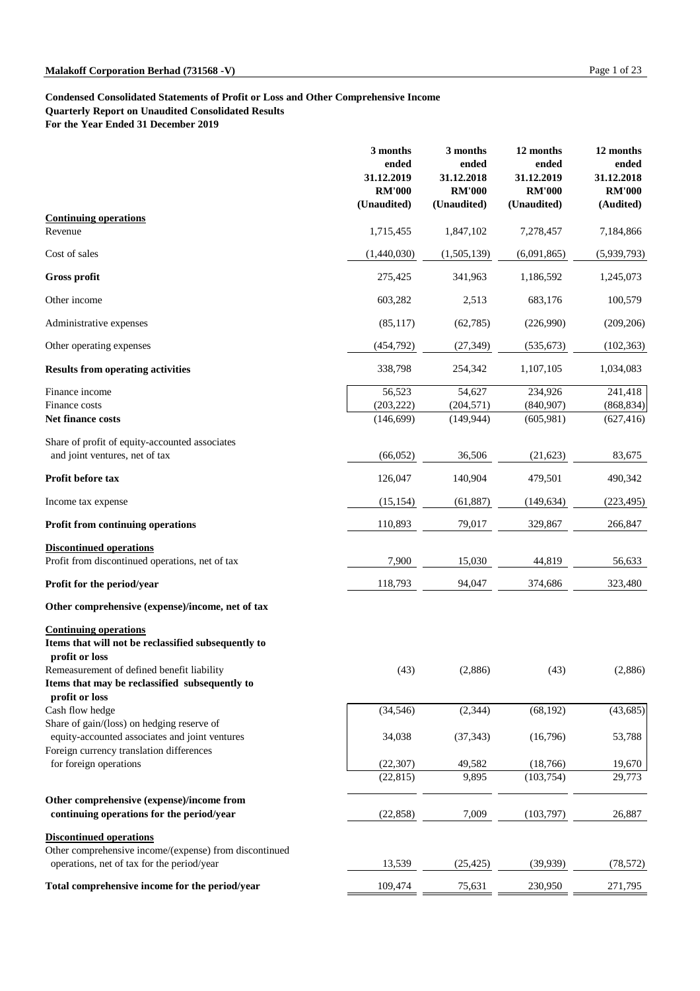# **Condensed Consolidated Statements of Profit or Loss and Other Comprehensive Income Quarterly Report on Unaudited Consolidated Results**

**For the Year Ended 31 December 2019**

|                                                                                  | 3 months<br>ended<br>31.12.2019<br><b>RM'000</b><br>(Unaudited) | 3 months<br>ended<br>31.12.2018<br><b>RM'000</b><br>(Unaudited) | 12 months<br>ended<br>31.12.2019<br><b>RM'000</b><br>(Unaudited) | 12 months<br>ended<br>31.12.2018<br><b>RM'000</b><br>(Audited) |
|----------------------------------------------------------------------------------|-----------------------------------------------------------------|-----------------------------------------------------------------|------------------------------------------------------------------|----------------------------------------------------------------|
| <b>Continuing operations</b>                                                     |                                                                 |                                                                 |                                                                  |                                                                |
| Revenue                                                                          | 1,715,455                                                       | 1,847,102                                                       | 7,278,457                                                        | 7,184,866                                                      |
| Cost of sales                                                                    | (1,440,030)                                                     | (1,505,139)                                                     | (6,091,865)                                                      | (5,939,793)                                                    |
| <b>Gross profit</b>                                                              | 275,425                                                         | 341,963                                                         | 1,186,592                                                        | 1,245,073                                                      |
| Other income                                                                     | 603,282                                                         | 2,513                                                           | 683,176                                                          | 100,579                                                        |
| Administrative expenses                                                          | (85,117)                                                        | (62, 785)                                                       | (226,990)                                                        | (209, 206)                                                     |
| Other operating expenses                                                         | (454, 792)                                                      | (27, 349)                                                       | (535, 673)                                                       | (102, 363)                                                     |
| <b>Results from operating activities</b>                                         | 338,798                                                         | 254,342                                                         | 1,107,105                                                        | 1,034,083                                                      |
| Finance income                                                                   | 56,523                                                          | 54,627                                                          | 234,926                                                          | 241,418                                                        |
| Finance costs                                                                    | (203, 222)                                                      | (204, 571)                                                      | (840, 907)                                                       | (868, 834)                                                     |
| <b>Net finance costs</b>                                                         | (146, 699)                                                      | (149, 944)                                                      | (605,981)                                                        | (627, 416)                                                     |
| Share of profit of equity-accounted associates<br>and joint ventures, net of tax | (66,052)                                                        | 36,506                                                          | (21, 623)                                                        | 83,675                                                         |
| Profit before tax                                                                | 126,047                                                         | 140,904                                                         | 479,501                                                          | 490,342                                                        |
| Income tax expense                                                               | (15, 154)                                                       | (61, 887)                                                       | (149, 634)                                                       | (223, 495)                                                     |
| <b>Profit from continuing operations</b>                                         | 110,893                                                         | 79,017                                                          | 329,867                                                          | 266,847                                                        |
| <b>Discontinued operations</b>                                                   |                                                                 |                                                                 |                                                                  |                                                                |
| Profit from discontinued operations, net of tax                                  | 7,900                                                           | 15,030                                                          | 44,819                                                           | 56,633                                                         |
| <b>Profit for the period/year</b>                                                | 118,793                                                         | 94,047                                                          | 374,686                                                          | 323,480                                                        |
| Other comprehensive (expense)/income, net of tax                                 |                                                                 |                                                                 |                                                                  |                                                                |
| <b>Continuing operations</b>                                                     |                                                                 |                                                                 |                                                                  |                                                                |

**Items that will not be reclassified subsequently to profit or loss**

| (43)      | (2,886)   | (43)       | (2,886)   |
|-----------|-----------|------------|-----------|
|           |           |            |           |
|           |           |            |           |
| (34, 546) | (2,344)   | (68, 192)  | (43, 685) |
|           |           |            |           |
| 34,038    | (37, 343) | (16,796)   | 53,788    |
|           |           |            |           |
| (22, 307) | 49,582    | (18,766)   | 19,670    |
| (22, 815) | 9,895     | (103, 754) | 29,773    |
|           |           |            |           |
| (22, 858) | 7,009     | (103,797)  | 26,887    |
|           |           |            |           |
|           |           |            |           |
| 13,539    | (25, 425) | (39, 939)  | (78, 572) |
| 109,474   | 75,631    | 230,950    | 271,795   |
|           |           |            |           |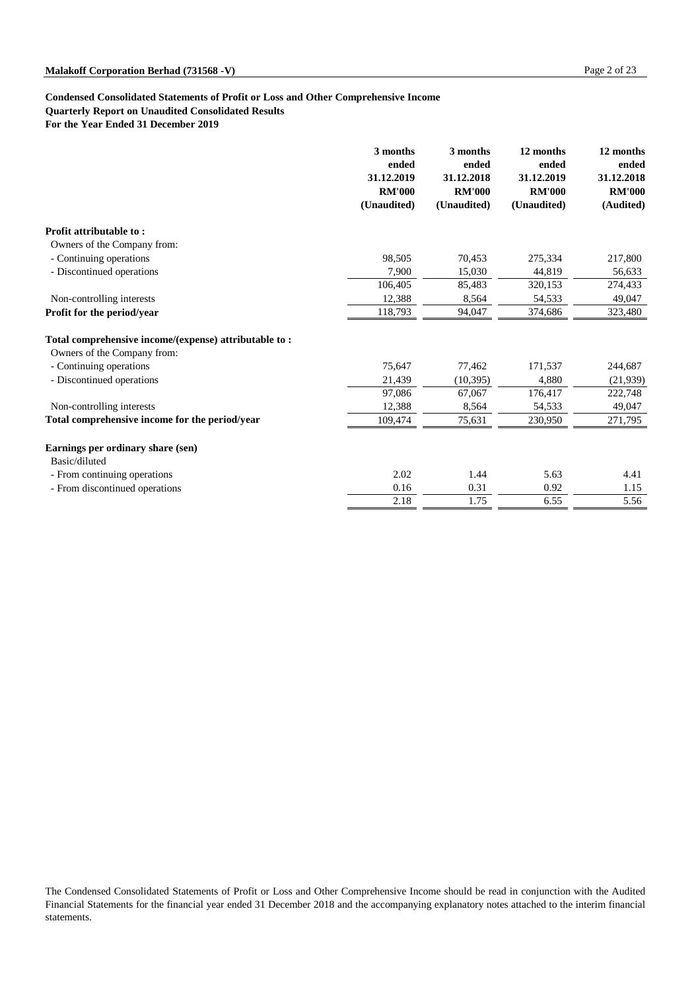# **Condensed Consolidated Statements of Profit or Loss and Other Comprehensive Income Quarterly Report on Unaudited Consolidated Results**

**For the Year Ended 31 December 2019**

|                                                       | 3 months<br>ended<br>31.12.2019<br><b>RM'000</b><br>(Unaudited) | 3 months<br>ended<br>31.12.2018<br><b>RM'000</b><br>(Unaudited) | 12 months<br>ended<br>31.12.2019<br><b>RM'000</b><br>(Unaudited) | 12 months<br>ended<br>31.12.2018<br><b>RM'000</b><br>(Audited) |
|-------------------------------------------------------|-----------------------------------------------------------------|-----------------------------------------------------------------|------------------------------------------------------------------|----------------------------------------------------------------|
| <b>Profit attributable to:</b>                        |                                                                 |                                                                 |                                                                  |                                                                |
| Owners of the Company from:                           |                                                                 |                                                                 |                                                                  |                                                                |
| - Continuing operations                               | 98,505                                                          | 70,453                                                          | 275,334                                                          | 217,800                                                        |
| - Discontinued operations                             | 7,900                                                           | 15,030                                                          | 44,819                                                           | 56,633                                                         |
|                                                       | 106,405                                                         | 85,483                                                          | 320,153                                                          | 274,433                                                        |
| Non-controlling interests                             | 12,388                                                          | 8,564                                                           | 54,533                                                           | 49,047                                                         |
| Profit for the period/year                            | 118,793                                                         | 94,047                                                          | 374,686                                                          | 323,480                                                        |
| Total comprehensive income/(expense) attributable to: |                                                                 |                                                                 |                                                                  |                                                                |
| Owners of the Company from:                           |                                                                 |                                                                 |                                                                  |                                                                |
| - Continuing operations                               | 75,647                                                          | 77,462                                                          | 171,537                                                          | 244,687                                                        |
| - Discontinued operations                             | 21,439                                                          | (10, 395)                                                       | 4,880                                                            | (21,939)                                                       |
|                                                       | 97,086                                                          | 67,067                                                          | 176,417                                                          | 222,748                                                        |
| Non-controlling interests                             | 12,388                                                          | 8,564                                                           | 54,533                                                           | 49,047                                                         |
| Total comprehensive income for the period/year        | 109,474                                                         | 75,631                                                          | 230,950                                                          | 271,795                                                        |
| Earnings per ordinary share (sen)<br>Basic/diluted    |                                                                 |                                                                 |                                                                  |                                                                |
| - From continuing operations                          | 2.02                                                            | 1.44                                                            | 5.63                                                             | 4.41                                                           |
| - From discontinued operations                        | 0.16                                                            | 0.31                                                            | 0.92                                                             | 1.15                                                           |
|                                                       | 2.18                                                            | 1.75                                                            | 6.55                                                             | 5.56                                                           |

The Condensed Consolidated Statements of Profit or Loss and Other Comprehensive Income should be read in conjunction with the Audited Financial Statements for the financial year ended 31 December 2018 and the accompanying explanatory notes attached to the interim financial statements.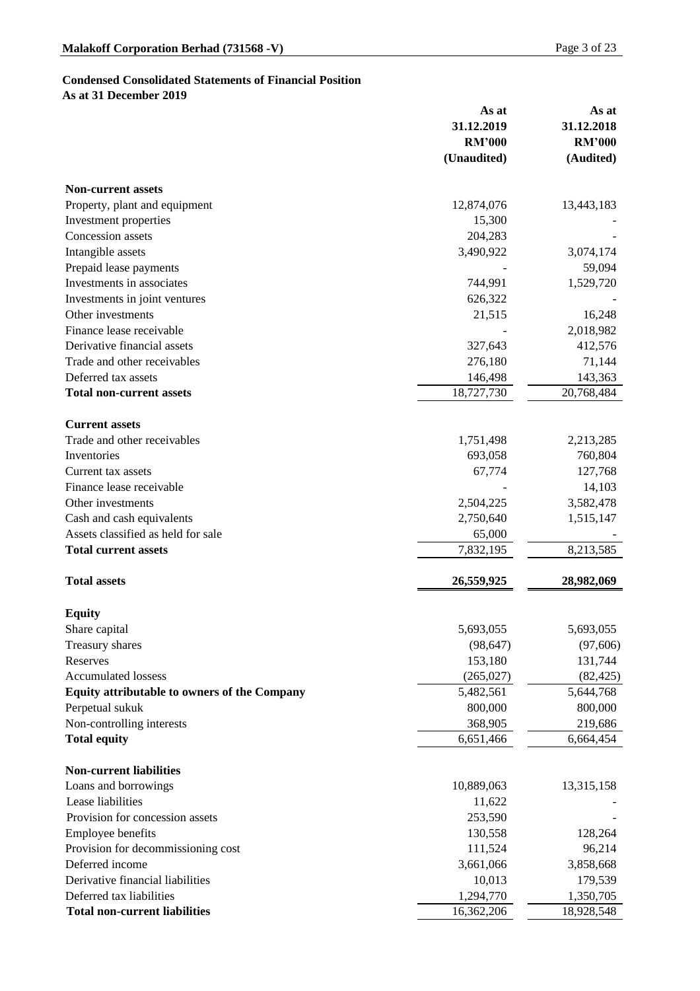## **Condensed Consolidated Statements of Financial Position**

**As at 31 December 2019**

|                                                     | As at         | As at         |
|-----------------------------------------------------|---------------|---------------|
|                                                     | 31.12.2019    | 31.12.2018    |
|                                                     | <b>RM'000</b> | <b>RM'000</b> |
|                                                     | (Unaudited)   | (Audited)     |
| <b>Non-current assets</b>                           |               |               |
| Property, plant and equipment                       | 12,874,076    | 13,443,183    |
| Investment properties                               | 15,300        |               |
| <b>Concession</b> assets                            | 204,283       |               |
| Intangible assets                                   | 3,490,922     | 3,074,174     |
| Prepaid lease payments                              |               | 59,094        |
| Investments in associates                           | 744,991       | 1,529,720     |
| Investments in joint ventures                       | 626,322       |               |
| Other investments                                   | 21,515        | 16,248        |
| Finance lease receivable                            |               | 2,018,982     |
| Derivative financial assets                         | 327,643       | 412,576       |
| Trade and other receivables                         | 276,180       | 71,144        |
| Deferred tax assets                                 | 146,498       | 143,363       |
| <b>Total non-current assets</b>                     | 18,727,730    | 20,768,484    |
| <b>Current assets</b>                               |               |               |
| Trade and other receivables                         | 1,751,498     | 2,213,285     |
| Inventories                                         | 693,058       | 760,804       |
| Current tax assets                                  | 67,774        | 127,768       |
| Finance lease receivable                            |               | 14,103        |
| Other investments                                   | 2,504,225     | 3,582,478     |
| Cash and cash equivalents                           | 2,750,640     | 1,515,147     |
| Assets classified as held for sale                  | 65,000        |               |
| <b>Total current assets</b>                         | 7,832,195     | 8,213,585     |
| <b>Total assets</b>                                 | 26,559,925    | 28,982,069    |
| <b>Equity</b>                                       |               |               |
| Share capital                                       | 5,693,055     | 5,693,055     |
| <b>Treasury shares</b>                              | (98, 647)     | (97,606)      |
| Reserves                                            | 153,180       | 131,744       |
| <b>Accumulated lossess</b>                          | (265, 027)    | (82, 425)     |
| <b>Equity attributable to owners of the Company</b> | 5,482,561     | 5,644,768     |
| Perpetual sukuk                                     | 800,000       | 800,000       |
| Non-controlling interests                           | 368,905       | 219,686       |
| <b>Total equity</b>                                 | 6,651,466     | 6,664,454     |
|                                                     |               |               |

## **Non-current liabilities**

| Loans and borrowings                 | 10,889,063 | 13,315,158 |
|--------------------------------------|------------|------------|
| Lease liabilities                    | 11,622     |            |
| Provision for concession assets      | 253,590    |            |
| <b>Employee benefits</b>             | 130,558    | 128,264    |
| Provision for decommissioning cost   | 111,524    | 96,214     |
| Deferred income                      | 3,661,066  | 3,858,668  |
| Derivative financial liabilities     | 10,013     | 179,539    |
| Deferred tax liabilities             | 1,294,770  | 1,350,705  |
| <b>Total non-current liabilities</b> | 16,362,206 | 18,928,548 |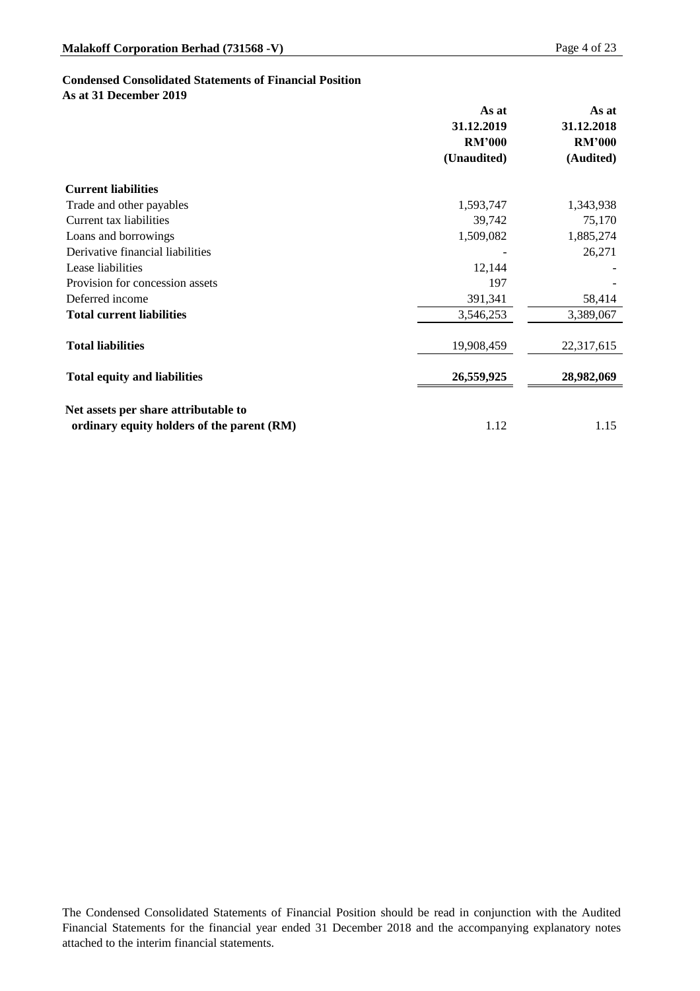## **Condensed Consolidated Statements of Financial Position**

**As at 31 December 2019**

|                                            | As at<br>31.12.2019 | As at<br>31.12.2018 |
|--------------------------------------------|---------------------|---------------------|
|                                            | <b>RM'000</b>       | <b>RM'000</b>       |
|                                            | (Unaudited)         | (Audited)           |
| <b>Current liabilities</b>                 |                     |                     |
| Trade and other payables                   | 1,593,747           | 1,343,938           |
| Current tax liabilities                    | 39,742              | 75,170              |
| Loans and borrowings                       | 1,509,082           | 1,885,274           |
| Derivative financial liabilities           |                     | 26,271              |
| Lease liabilities                          | 12,144              |                     |
| Provision for concession assets            | 197                 |                     |
| Deferred income                            | 391,341             | 58,414              |
| <b>Total current liabilities</b>           | 3,546,253           | 3,389,067           |
| <b>Total liabilities</b>                   | 19,908,459          | 22,317,615          |
| <b>Total equity and liabilities</b>        | 26,559,925          | 28,982,069          |
| Net assets per share attributable to       |                     |                     |
| ordinary equity holders of the parent (RM) | 1.12                | 1.15                |

The Condensed Consolidated Statements of Financial Position should be read in conjunction with the Audited Financial Statements for the financial year ended 31 December 2018 and the accompanying explanatory notes attached to the interim financial statements.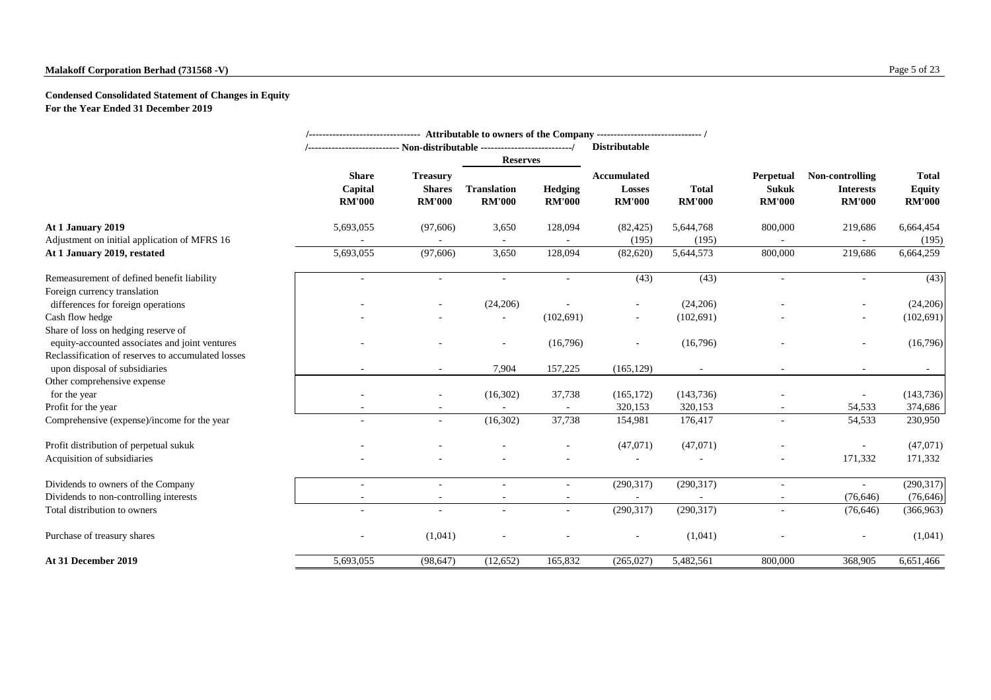## **Condensed Consolidated Statement of Changes in Equity For the Year Ended 31 December 2019**

|                                                                                                                                             |                                          | /-------------------------------- Attributable to owners of the Company -------------------------------- /<br><b>Distributable</b> |                                                        |                                 |                                                      |                               |                                                   |                                                      |                                                |
|---------------------------------------------------------------------------------------------------------------------------------------------|------------------------------------------|------------------------------------------------------------------------------------------------------------------------------------|--------------------------------------------------------|---------------------------------|------------------------------------------------------|-------------------------------|---------------------------------------------------|------------------------------------------------------|------------------------------------------------|
|                                                                                                                                             |                                          | /--------------------------- Non-distributable ---------------------------/                                                        |                                                        |                                 |                                                      |                               |                                                   |                                                      |                                                |
|                                                                                                                                             | <b>Share</b><br>Capital<br><b>RM'000</b> | <b>Treasury</b><br><b>Shares</b><br><b>RM'000</b>                                                                                  | <b>Reserves</b><br><b>Translation</b><br><b>RM'000</b> | <b>Hedging</b><br><b>RM'000</b> | <b>Accumulated</b><br><b>Losses</b><br><b>RM'000</b> | <b>Total</b><br><b>RM'000</b> | <b>Perpetual</b><br><b>Sukuk</b><br><b>RM'000</b> | Non-controlling<br><b>Interests</b><br><b>RM'000</b> | <b>Total</b><br><b>Equity</b><br><b>RM'000</b> |
| At 1 January 2019<br>Adjustment on initial application of MFRS 16                                                                           | 5,693,055                                | (97,606)                                                                                                                           | 3,650<br>$\sim$                                        | 128,094                         | (82, 425)<br>(195)                                   | 5,644,768<br>(195)            | 800,000                                           | 219,686                                              | 6,664,454<br>(195)                             |
| At 1 January 2019, restated                                                                                                                 | 5,693,055                                | (97, 606)                                                                                                                          | 3,650                                                  | 128,094                         | (82, 620)                                            | 5,644,573                     | 800,000                                           | 219,686                                              | 6,664,259                                      |
| Remeasurement of defined benefit liability<br>Foreign currency translation                                                                  |                                          |                                                                                                                                    |                                                        |                                 | (43)                                                 | (43)                          |                                                   |                                                      | (43)                                           |
| differences for foreign operations<br>Cash flow hedge                                                                                       |                                          |                                                                                                                                    | (24,206)<br>$\overline{\phantom{a}}$                   | (102,691)                       | $\overline{\phantom{a}}$<br>$\sim$                   | (24,206)<br>(102,691)         |                                                   |                                                      | (24,206)<br>(102, 691)                         |
| Share of loss on hedging reserve of<br>equity-accounted associates and joint ventures<br>Reclassification of reserves to accumulated losses |                                          |                                                                                                                                    | $\overline{\phantom{a}}$                               | (16,796)                        |                                                      | (16,796)                      |                                                   | $\overline{\phantom{a}}$                             | (16,796)                                       |
| upon disposal of subsidiaries                                                                                                               |                                          |                                                                                                                                    | 7,904                                                  | 157,225                         | (165, 129)                                           |                               |                                                   | $\overline{\phantom{a}}$                             |                                                |
| Other comprehensive expense<br>for the year                                                                                                 |                                          | $\overline{\phantom{a}}$                                                                                                           | (16,302)                                               | 37,738                          | (165, 172)                                           | (143, 736)                    |                                                   |                                                      | (143, 736)                                     |
| Profit for the year                                                                                                                         |                                          |                                                                                                                                    |                                                        |                                 | 320,153                                              | 320,153                       |                                                   | 54,533                                               | 374,686                                        |
| Comprehensive (expense)/income for the year                                                                                                 |                                          | $\overline{\phantom{a}}$                                                                                                           | (16,302)                                               | 37,738                          | 154,981                                              | 176,417                       |                                                   | 54,533                                               | 230,950                                        |
| Profit distribution of perpetual sukuk                                                                                                      |                                          |                                                                                                                                    |                                                        |                                 | (47,071)                                             | (47,071)                      |                                                   |                                                      | (47,071)                                       |
| Acquisition of subsidiaries                                                                                                                 |                                          |                                                                                                                                    |                                                        |                                 |                                                      |                               |                                                   | 171,332                                              | 171,332                                        |
| Dividends to owners of the Company                                                                                                          | $\overline{\phantom{a}}$                 |                                                                                                                                    | $\overline{\phantom{a}}$                               |                                 | (290,317)                                            | (290, 317)                    | $\sim$                                            | $\blacksquare$                                       | (290,317)                                      |
| Dividends to non-controlling interests                                                                                                      | $\sim$                                   | $\sim$                                                                                                                             | $\sim$                                                 | $\sim$                          |                                                      |                               | $\sim$                                            | (76, 646)                                            | (76, 646)                                      |
| Total distribution to owners                                                                                                                | $\overline{\phantom{a}}$                 | $\overline{\phantom{a}}$                                                                                                           | $\overline{\phantom{a}}$                               | $\overline{\phantom{a}}$        | (290,317)                                            | (290,317)                     |                                                   | (76, 646)                                            | (366, 963)                                     |
| Purchase of treasury shares                                                                                                                 | $\overline{\phantom{a}}$                 | (1,041)                                                                                                                            | $\overline{\phantom{a}}$                               |                                 | $\sim$                                               | (1,041)                       |                                                   | $\sim$                                               | (1,041)                                        |
| At 31 December 2019                                                                                                                         | 5,693,055                                | (98, 647)                                                                                                                          | (12, 652)                                              | 165,832                         | (265, 027)                                           | 5,482,561                     | 800,000                                           | 368,905                                              | 6,651,466                                      |
|                                                                                                                                             |                                          |                                                                                                                                    |                                                        |                                 |                                                      |                               |                                                   |                                                      |                                                |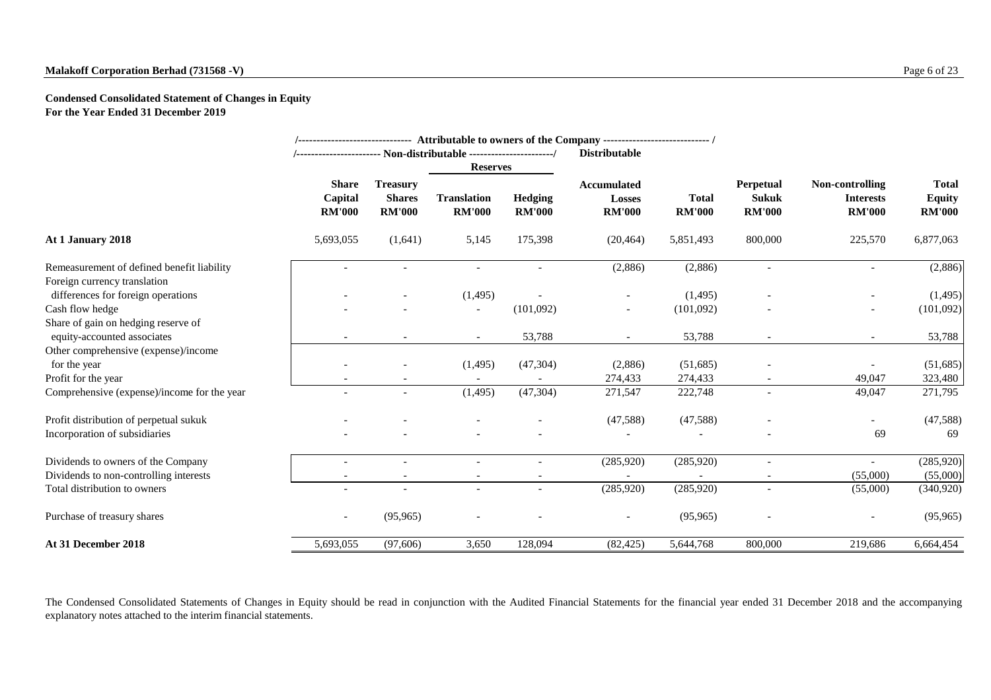## **Malakoff Corporation Berhad (731568 -V)** Page 6 of 23

**Condensed Consolidated Statement of Changes in Equity For the Year Ended 31 December 2019**

|                                             |                                          |                                                   |                                     |                                 | /------------------------------ Attributable to owners of the Company ----------------------------- / |                               |                                                   |                                                      |                                                |
|---------------------------------------------|------------------------------------------|---------------------------------------------------|-------------------------------------|---------------------------------|-------------------------------------------------------------------------------------------------------|-------------------------------|---------------------------------------------------|------------------------------------------------------|------------------------------------------------|
|                                             |                                          |                                                   | <b>Reserves</b>                     |                                 | <b>Distributable</b>                                                                                  |                               |                                                   |                                                      |                                                |
|                                             | <b>Share</b><br>Capital<br><b>RM'000</b> | <b>Treasury</b><br><b>Shares</b><br><b>RM'000</b> | <b>Translation</b><br><b>RM'000</b> | <b>Hedging</b><br><b>RM'000</b> | <b>Accumulated</b><br><b>Losses</b><br><b>RM'000</b>                                                  | <b>Total</b><br><b>RM'000</b> | <b>Perpetual</b><br><b>Sukuk</b><br><b>RM'000</b> | Non-controlling<br><b>Interests</b><br><b>RM'000</b> | <b>Total</b><br><b>Equity</b><br><b>RM'000</b> |
| At 1 January 2018                           | 5,693,055                                | (1,641)                                           | 5,145                               | 175,398                         | (20, 464)                                                                                             | 5,851,493                     | 800,000                                           | 225,570                                              | 6,877,063                                      |
| Remeasurement of defined benefit liability  |                                          |                                                   |                                     |                                 | (2,886)                                                                                               | (2,886)                       |                                                   |                                                      | (2,886)                                        |
| Foreign currency translation                |                                          |                                                   |                                     |                                 |                                                                                                       |                               |                                                   |                                                      |                                                |
| differences for foreign operations          |                                          |                                                   | (1,495)                             |                                 |                                                                                                       | (1,495)                       |                                                   | -                                                    | (1,495)                                        |
| Cash flow hedge                             |                                          |                                                   | $\overline{\phantom{a}}$            | (101,092)                       | $\overline{\phantom{a}}$                                                                              | (101,092)                     |                                                   | $\overline{\phantom{a}}$                             | (101,092)                                      |
| Share of gain on hedging reserve of         |                                          |                                                   |                                     |                                 |                                                                                                       |                               |                                                   |                                                      |                                                |
| equity-accounted associates                 |                                          |                                                   | $\sim$                              | 53,788                          | $\overline{\phantom{a}}$                                                                              | 53,788                        | $\overline{\phantom{a}}$                          | $\sim$                                               | 53,788                                         |
| Other comprehensive (expense)/income        |                                          |                                                   |                                     |                                 |                                                                                                       |                               |                                                   |                                                      |                                                |
| for the year                                |                                          |                                                   | (1,495)                             | (47,304)                        | (2,886)                                                                                               | (51,685)                      |                                                   |                                                      | (51,685)                                       |
| Profit for the year                         |                                          |                                                   |                                     |                                 | 274,433                                                                                               | 274,433                       | $\overline{\phantom{a}}$                          | 49,047                                               | 323,480                                        |
| Comprehensive (expense)/income for the year |                                          |                                                   | (1,495)                             | (47, 304)                       | 271,547                                                                                               | 222,748                       | $\overline{\phantom{a}}$                          | 49,047                                               | 271,795                                        |
| Profit distribution of perpetual sukuk      |                                          |                                                   |                                     |                                 | (47,588)                                                                                              | (47,588)                      |                                                   |                                                      | (47,588)                                       |
| Incorporation of subsidiaries               |                                          |                                                   |                                     |                                 |                                                                                                       |                               |                                                   | 69                                                   | 69                                             |
| Dividends to owners of the Company          |                                          |                                                   |                                     |                                 | (285,920)                                                                                             | (285, 920)                    |                                                   |                                                      | (285,920)                                      |
| Dividends to non-controlling interests      |                                          |                                                   |                                     |                                 |                                                                                                       |                               |                                                   | (55,000)                                             | (55,000)                                       |
| Total distribution to owners                |                                          |                                                   |                                     |                                 | (285,920)                                                                                             | (285, 920)                    |                                                   | (55,000)                                             | (340, 920)                                     |
| Purchase of treasury shares                 | ۰                                        | (95, 965)                                         |                                     |                                 | $\overline{\phantom{a}}$                                                                              | (95, 965)                     | $\overline{\phantom{a}}$                          | -                                                    | (95, 965)                                      |
| At 31 December 2018                         | 5,693,055                                | (97, 606)                                         | 3,650                               | 128,094                         | (82, 425)                                                                                             | 5,644,768                     | 800,000                                           | 219,686                                              | 6,664,454                                      |

The Condensed Consolidated Statements of Changes in Equity should be read in conjunction with the Audited Financial Statements for the financial year ended 31 December 2018 and the accompanying explanatory notes attached to the interim financial statements.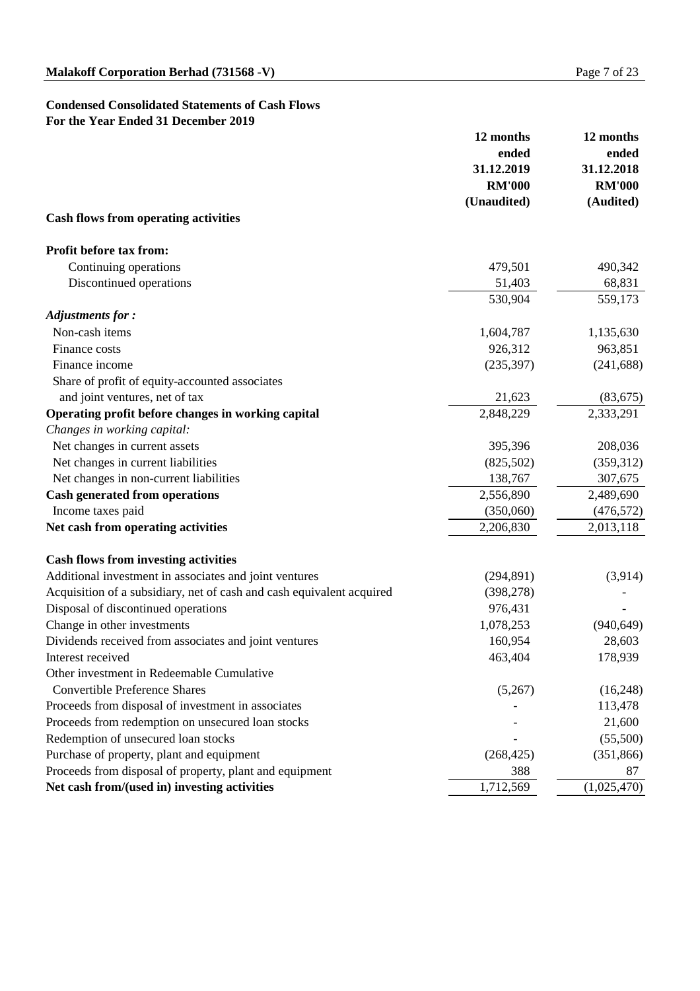## **Condensed Consolidated Statements of Cash Flows For the Year Ended 31 December 2019**

|                                                                       | 12 months<br>ended<br>31.12.2019 | 12 months<br>ended<br>31.12.2018 |
|-----------------------------------------------------------------------|----------------------------------|----------------------------------|
|                                                                       | <b>RM'000</b>                    | <b>RM'000</b>                    |
| <b>Cash flows from operating activities</b>                           | (Unaudited)                      | (Audited)                        |
| <b>Profit before tax from:</b>                                        |                                  |                                  |
| Continuing operations                                                 | 479,501                          | 490,342                          |
| Discontinued operations                                               | 51,403                           | 68,831                           |
|                                                                       | 530,904                          | 559,173                          |
| <b>Adjustments for:</b>                                               |                                  |                                  |
| Non-cash items                                                        | 1,604,787                        | 1,135,630                        |
| Finance costs                                                         | 926,312                          | 963,851                          |
| Finance income                                                        | (235, 397)                       | (241, 688)                       |
| Share of profit of equity-accounted associates                        |                                  |                                  |
| and joint ventures, net of tax                                        | 21,623                           | (83, 675)                        |
| Operating profit before changes in working capital                    | 2,848,229                        | 2,333,291                        |
| Changes in working capital:                                           |                                  |                                  |
| Net changes in current assets                                         | 395,396                          | 208,036                          |
| Net changes in current liabilities                                    | (825,502)                        | (359,312)                        |
| Net changes in non-current liabilities                                | 138,767                          | 307,675                          |
| <b>Cash generated from operations</b>                                 | 2,556,890                        | 2,489,690                        |
| Income taxes paid                                                     | (350,060)                        | (476, 572)                       |
| Net cash from operating activities                                    | 2,206,830                        | 2,013,118                        |
| <b>Cash flows from investing activities</b>                           |                                  |                                  |
| Additional investment in associates and joint ventures                | (294, 891)                       | (3,914)                          |
| Acquisition of a subsidiary, net of cash and cash equivalent acquired | (398, 278)                       |                                  |
| Disposal of discontinued operations                                   | 976,431                          |                                  |
| Change in other investments                                           | 1,078,253                        | (940, 649)                       |
| Dividends received from associates and joint ventures                 | 160,954                          | 28,603                           |
| Interest received                                                     | 463,404                          | 178,939                          |
| Other investment in Redeemable Cumulative                             |                                  |                                  |
| <b>Convertible Preference Shares</b>                                  | (5,267)                          | (16,248)                         |
| Proceeds from disposal of investment in associates                    |                                  | 113,478                          |
| Proceeds from redemption on unsecured loan stocks                     |                                  | 21,600                           |
| Redemption of unsecured loan stocks                                   |                                  | (55,500)                         |
| Purchase of property, plant and equipment                             | (268, 425)                       | (351, 866)                       |
| Proceeds from disposal of property, plant and equipment               | 388                              | 87                               |
| Net cash from/(used in) investing activities                          | 1,712,569                        | (1,025,470)                      |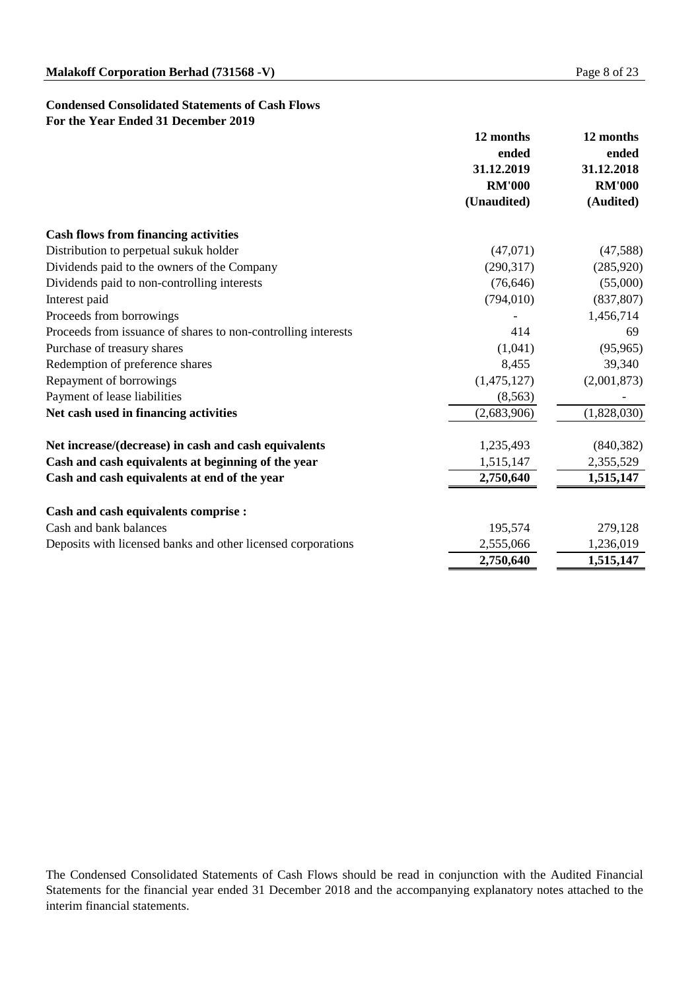## **Condensed Consolidated Statements of Cash Flows For the Year Ended 31 December 2019**

|                                                               | 12 months<br>ended | 12 months<br>ended |
|---------------------------------------------------------------|--------------------|--------------------|
|                                                               | 31.12.2019         | 31.12.2018         |
|                                                               | <b>RM'000</b>      | <b>RM'000</b>      |
|                                                               | (Unaudited)        | (Audited)          |
| <b>Cash flows from financing activities</b>                   |                    |                    |
| Distribution to perpetual sukuk holder                        | (47,071)           | (47,588)           |
| Dividends paid to the owners of the Company                   | (290,317)          | (285, 920)         |
| Dividends paid to non-controlling interests                   | (76, 646)          | (55,000)           |
| Interest paid                                                 | (794, 010)         | (837, 807)         |
| Proceeds from borrowings                                      |                    | 1,456,714          |
| Proceeds from issuance of shares to non-controlling interests | 414                | 69                 |
| Purchase of treasury shares                                   | (1,041)            | (95, 965)          |
| Redemption of preference shares                               | 8,455              | 39,340             |
| Repayment of borrowings                                       | (1,475,127)        | (2,001,873)        |
| Payment of lease liabilities                                  | (8,563)            |                    |
| Net cash used in financing activities                         | (2,683,906)        | (1,828,030)        |
| Net increase/(decrease) in cash and cash equivalents          | 1,235,493          | (840, 382)         |
| Cash and cash equivalents at beginning of the year            | 1,515,147          | 2,355,529          |
| Cash and cash equivalents at end of the year                  | 2,750,640          | 1,515,147          |
| <b>Cash and cash equivalents comprise :</b>                   |                    |                    |
| Cash and bank balances                                        | 195,574            | 279,128            |
| Deposits with licensed banks and other licensed corporations  | 2,555,066          | 1,236,019          |
|                                                               | 2,750,640          | 1,515,147          |

The Condensed Consolidated Statements of Cash Flows should be read in conjunction with the Audited Financial Statements for the financial year ended 31 December 2018 and the accompanying explanatory notes attached to the interim financial statements.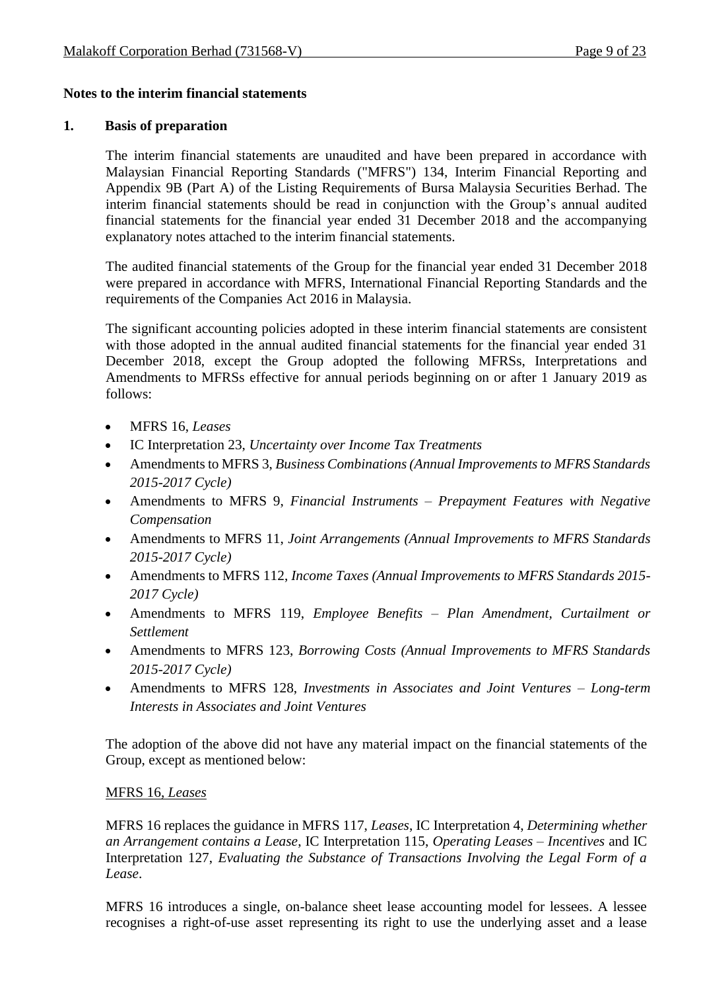## **Notes to the interim financial statements**

## **1. Basis of preparation**

The interim financial statements are unaudited and have been prepared in accordance with Malaysian Financial Reporting Standards ("MFRS") 134, Interim Financial Reporting and Appendix 9B (Part A) of the Listing Requirements of Bursa Malaysia Securities Berhad. The interim financial statements should be read in conjunction with the Group's annual audited financial statements for the financial year ended 31 December 2018 and the accompanying explanatory notes attached to the interim financial statements.

The audited financial statements of the Group for the financial year ended 31 December 2018 were prepared in accordance with MFRS, International Financial Reporting Standards and the requirements of the Companies Act 2016 in Malaysia.

The significant accounting policies adopted in these interim financial statements are consistent with those adopted in the annual audited financial statements for the financial year ended 31 December 2018, except the Group adopted the following MFRSs, Interpretations and Amendments to MFRSs effective for annual periods beginning on or after 1 January 2019 as follows:

- MFRS 16, *Leases*
- IC Interpretation 23, *Uncertainty over Income Tax Treatments*
- Amendments to MFRS 3, *Business Combinations (Annual Improvements to MFRS Standards 2015-2017 Cycle)*
- Amendments to MFRS 9, *Financial Instruments – Prepayment Features with Negative Compensation*
- Amendments to MFRS 11, *Joint Arrangements (Annual Improvements to MFRS Standards 2015-2017 Cycle)*
- Amendments to MFRS 112, *Income Taxes (Annual Improvements to MFRS Standards 2015- 2017 Cycle)*
- Amendments to MFRS 119, *Employee Benefits – Plan Amendment, Curtailment or Settlement*
- Amendments to MFRS 123, *Borrowing Costs (Annual Improvements to MFRS Standards 2015-2017 Cycle)*
- Amendments to MFRS 128, *Investments in Associates and Joint Ventures – Long-term Interests in Associates and Joint Ventures*

The adoption of the above did not have any material impact on the financial statements of the Group, except as mentioned below:

## MFRS 16, *Leases*

MFRS 16 replaces the guidance in MFRS 117, *Leases*, IC Interpretation 4, *Determining whether an Arrangement contains a Lease*, IC Interpretation 115, *Operating Leases – Incentives* and IC Interpretation 127, *Evaluating the Substance of Transactions Involving the Legal Form of a Lease*.

MFRS 16 introduces a single, on-balance sheet lease accounting model for lessees. A lessee recognises a right-of-use asset representing its right to use the underlying asset and a lease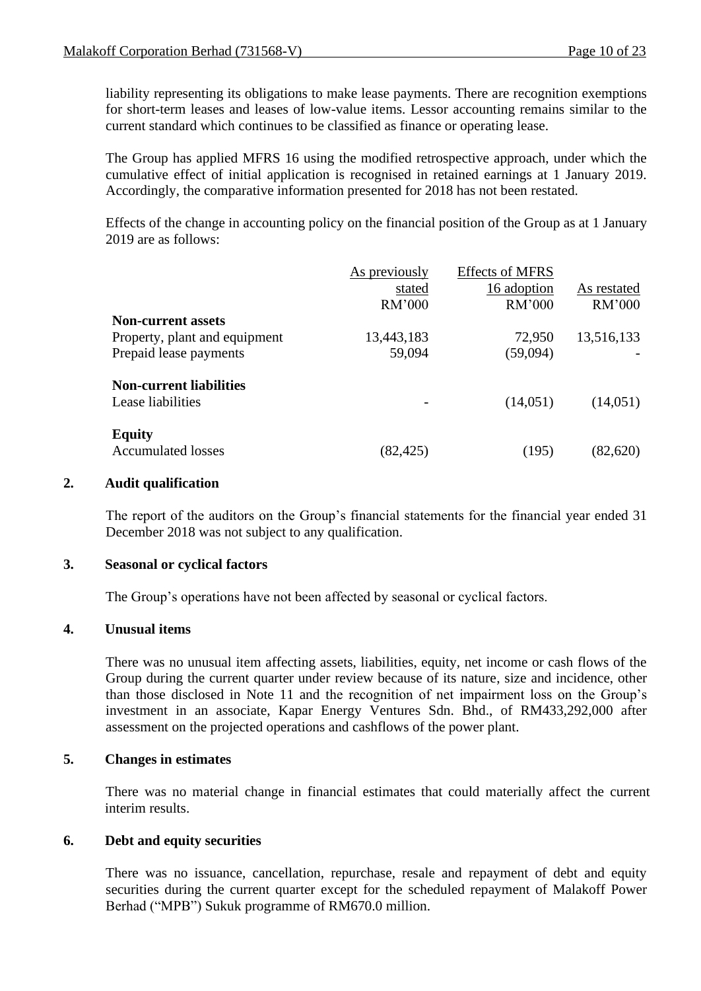liability representing its obligations to make lease payments. There are recognition exemptions for short-term leases and leases of low-value items. Lessor accounting remains similar to the current standard which continues to be classified as finance or operating lease.

The Group has applied MFRS 16 using the modified retrospective approach, under which the cumulative effect of initial application is recognised in retained earnings at 1 January 2019. Accordingly, the comparative information presented for 2018 has not been restated.

Effects of the change in accounting policy on the financial position of the Group as at 1 January 2019 are as follows:

|                                | As previously | <b>Effects of MFRS</b> |             |
|--------------------------------|---------------|------------------------|-------------|
|                                | stated        | 16 adoption            | As restated |
|                                | RM'000        | RM'000                 | RM'000      |
| <b>Non-current assets</b>      |               |                        |             |
| Property, plant and equipment  | 13,443,183    | 72,950                 | 13,516,133  |
| Prepaid lease payments         | 59,094        | (59,094)               |             |
| <b>Non-current liabilities</b> |               |                        |             |
| Lease liabilities              |               | (14,051)               | (14,051)    |
| <b>Equity</b>                  |               |                        |             |
| <b>Accumulated losses</b>      | (82, 425)     | (195)                  | (82,620)    |

## **2. Audit qualification**

The report of the auditors on the Group's financial statements for the financial year ended 31 December 2018 was not subject to any qualification.

## **3. Seasonal or cyclical factors**

The Group's operations have not been affected by seasonal or cyclical factors.

## **4. Unusual items**

There was no unusual item affecting assets, liabilities, equity, net income or cash flows of the Group during the current quarter under review because of its nature, size and incidence, other than those disclosed in Note 11 and the recognition of net impairment loss on the Group's investment in an associate, Kapar Energy Ventures Sdn. Bhd., of RM433,292,000 after assessment on the projected operations and cashflows of the power plant.

## **5. Changes in estimates**

There was no material change in financial estimates that could materially affect the current interim results.

## **6. Debt and equity securities**

There was no issuance, cancellation, repurchase, resale and repayment of debt and equity securities during the current quarter except for the scheduled repayment of Malakoff Power Berhad ("MPB") Sukuk programme of RM670.0 million.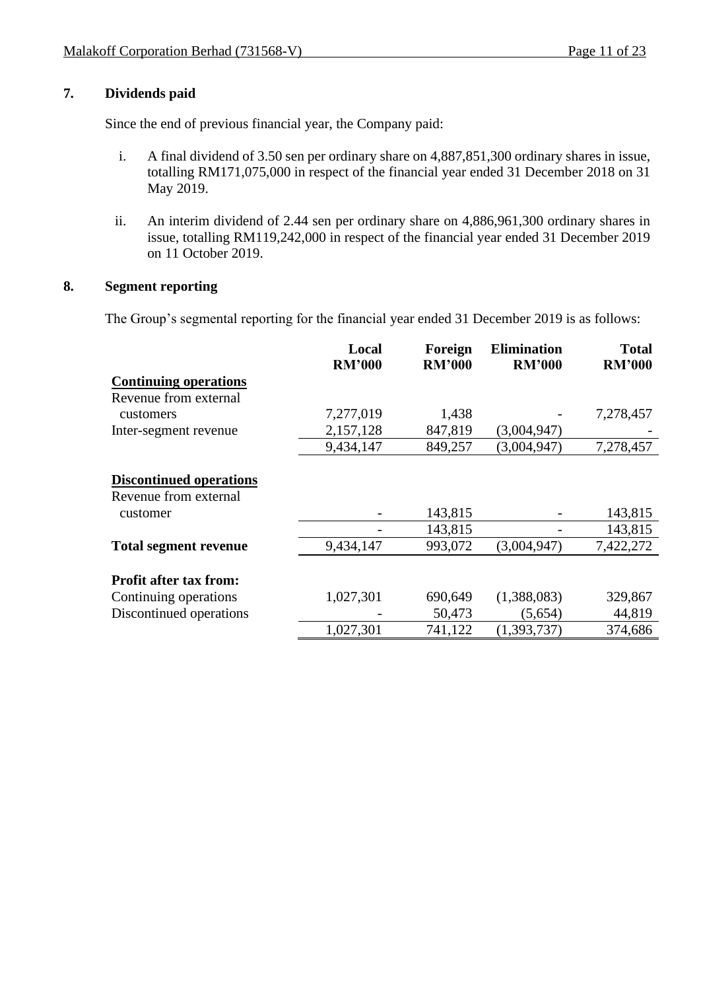## **7. Dividends paid**

Since the end of previous financial year, the Company paid:

- i. A final dividend of 3.50 sen per ordinary share on 4,887,851,300 ordinary shares in issue, totalling RM171,075,000 in respect of the financial year ended 31 December 2018 on 31 May 2019.
- ii. An interim dividend of 2.44 sen per ordinary share on 4,886,961,300 ordinary shares in issue, totalling RM119,242,000 in respect of the financial year ended 31 December 2019 on 11 October 2019.

## **8. Segment reporting**

The Group's segmental reporting for the financial year ended 31 December 2019 is as follows:

|                                | Local<br><b>RM'000</b> | Foreign<br><b>RM'000</b> | <b>Elimination</b><br><b>RM'000</b> | <b>Total</b><br><b>RM'000</b> |
|--------------------------------|------------------------|--------------------------|-------------------------------------|-------------------------------|
| <b>Continuing operations</b>   |                        |                          |                                     |                               |
| Revenue from external          |                        |                          |                                     |                               |
| customers                      | 7,277,019              | 1,438                    |                                     | 7,278,457                     |
| Inter-segment revenue          | 2,157,128              | 847,819                  | (3,004,947)                         |                               |
|                                | 9,434,147              | 849,257                  | (3,004,947)                         | 7,278,457                     |
|                                |                        |                          |                                     |                               |
| <b>Discontinued operations</b> |                        |                          |                                     |                               |
| Revenue from external          |                        |                          |                                     |                               |
| customer                       |                        | 143,815                  |                                     | 143,815                       |
|                                |                        | 143,815                  |                                     | 143,815                       |
| <b>Total segment revenue</b>   | 9,434,147              | 993,072                  | (3,004,947)                         | 7,422,272                     |
|                                |                        |                          |                                     |                               |
| <b>Profit after tax from:</b>  |                        |                          |                                     |                               |
| Continuing operations          | 1,027,301              | 690,649                  | (1,388,083)                         | 329,867                       |
| Discontinued operations        |                        | 50,473                   | (5,654)                             | 44,819                        |
|                                | 1,027,301              | 741,122                  | (1, 393, 737)                       | 374,686                       |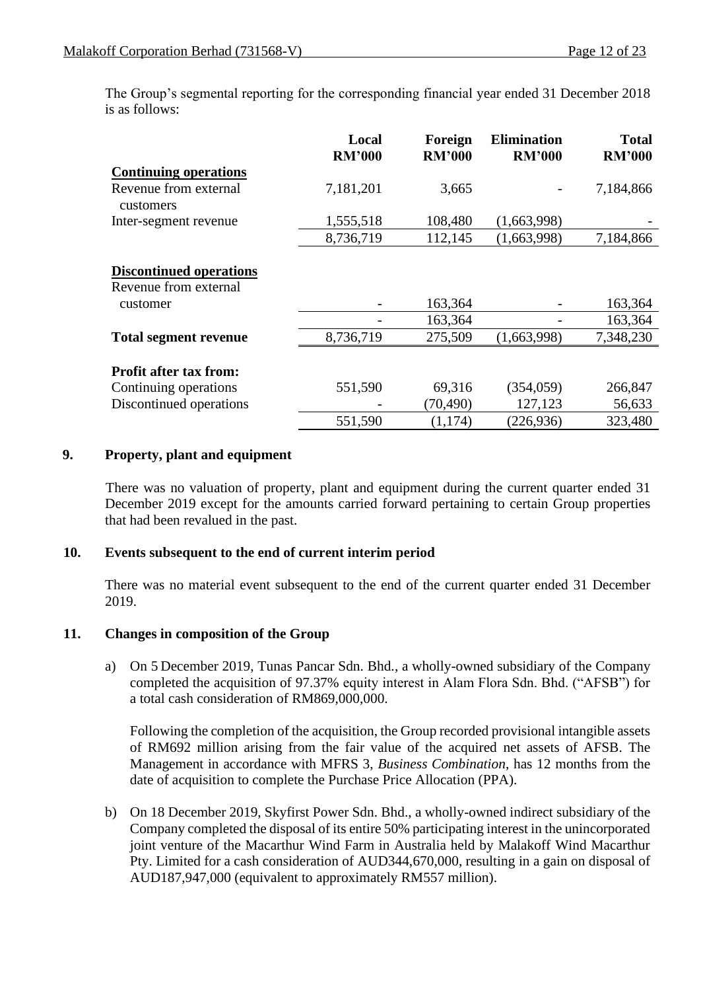The Group's segmental reporting for the corresponding financial year ended 31 December 2018 is as follows:

|                                                                                   | Local<br><b>RM'000</b> | Foreign<br><b>RM'000</b> | <b>Elimination</b><br><b>RM'000</b> | <b>Total</b><br><b>RM'000</b> |
|-----------------------------------------------------------------------------------|------------------------|--------------------------|-------------------------------------|-------------------------------|
| <b>Continuing operations</b>                                                      |                        |                          |                                     |                               |
| Revenue from external<br>customers                                                | 7,181,201              | 3,665                    |                                     | 7,184,866                     |
| Inter-segment revenue                                                             | 1,555,518              | 108,480                  | (1,663,998)                         |                               |
|                                                                                   | 8,736,719              | 112,145                  | (1,663,998)                         | 7,184,866                     |
| <b>Discontinued operations</b><br>Revenue from external<br>customer               |                        | 163,364<br>163,364       |                                     | 163,364<br>163,364            |
| <b>Total segment revenue</b>                                                      | 8,736,719              | 275,509                  | (1,663,998)                         | 7,348,230                     |
| <b>Profit after tax from:</b><br>Continuing operations<br>Discontinued operations | 551,590                | 69,316<br>(70, 490)      | (354, 059)<br>127,123               | 266,847<br>56,633             |
|                                                                                   | 551,590                | (1,174)                  | (226, 936)                          | 323,480                       |

## **9. Property, plant and equipment**

There was no valuation of property, plant and equipment during the current quarter ended 31 December 2019 except for the amounts carried forward pertaining to certain Group properties that had been revalued in the past.

## **10. Events subsequent to the end of current interim period**

There was no material event subsequent to the end of the current quarter ended 31 December 2019.

## **11. Changes in composition of the Group**

a) On 5 December 2019, Tunas Pancar Sdn. Bhd., a wholly-owned subsidiary of the Company completed the acquisition of 97.37% equity interest in Alam Flora Sdn. Bhd. ("AFSB") for a total cash consideration of RM869,000,000.

Following the completion of the acquisition, the Group recorded provisional intangible assets of RM692 million arising from the fair value of the acquired net assets of AFSB. The Management in accordance with MFRS 3, *Business Combination*, has 12 months from the date of acquisition to complete the Purchase Price Allocation (PPA).

b) On 18 December 2019, Skyfirst Power Sdn. Bhd., a wholly-owned indirect subsidiary of the Company completed the disposal of its entire 50% participating interest in the unincorporated joint venture of the Macarthur Wind Farm in Australia held by Malakoff Wind Macarthur Pty. Limited for a cash consideration of AUD344,670,000, resulting in a gain on disposal of AUD187,947,000 (equivalent to approximately RM557 million).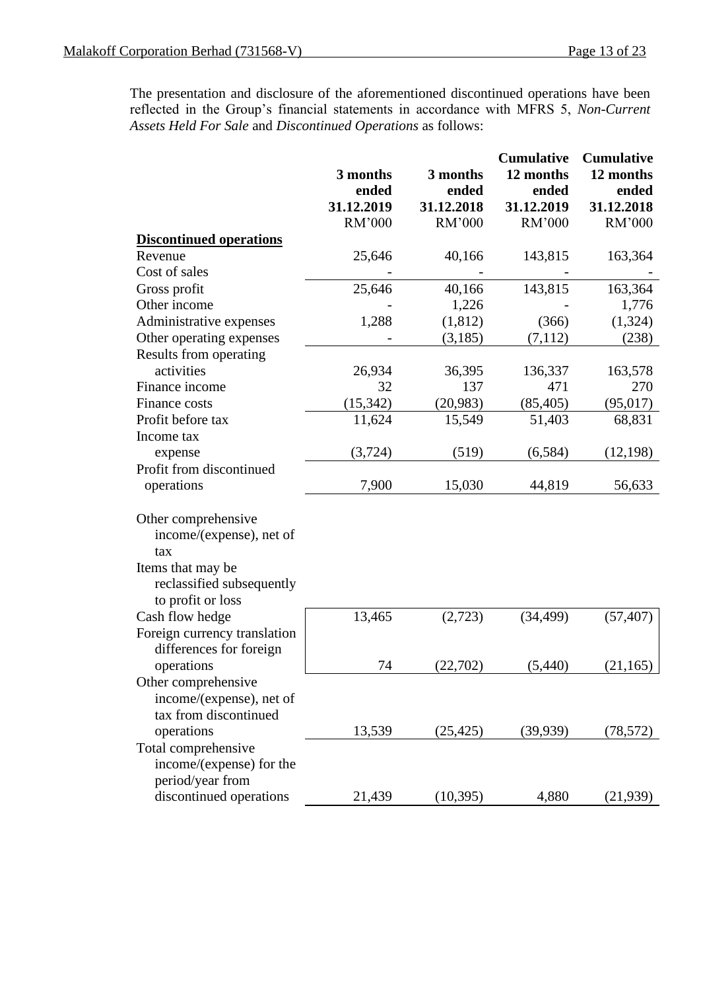The presentation and disclosure of the aforementioned discontinued operations have been reflected in the Group's financial statements in accordance with MFRS 5, *Non-Current Assets Held For Sale* and *Discontinued Operations* as follows:

|                                |            |            | <b>Cumulative</b> | <b>Cumulative</b> |
|--------------------------------|------------|------------|-------------------|-------------------|
|                                | 3 months   | 3 months   | 12 months         | 12 months         |
|                                | ended      | ended      | ended             | ended             |
|                                | 31.12.2019 | 31.12.2018 | 31.12.2019        | 31.12.2018        |
|                                | RM'000     | RM'000     | RM'000            | RM'000            |
| <b>Discontinued operations</b> |            |            |                   |                   |
| Revenue                        | 25,646     | 40,166     | 143,815           | 163,364           |
| Cost of sales                  |            |            |                   |                   |
| Gross profit                   | 25,646     | 40,166     | 143,815           | 163,364           |
| Other income                   |            | 1,226      |                   | 1,776             |
| Administrative expenses        | 1,288      | (1, 812)   | (366)             | (1, 324)          |
| Other operating expenses       |            | (3,185)    | (7,112)           | (238)             |
| Results from operating         |            |            |                   |                   |
| activities                     | 26,934     | 36,395     | 136,337           | 163,578           |
| Finance income                 | 32         | 137        | 471               | 270               |
| Finance costs                  | (15, 342)  | (20, 983)  | (85, 405)         | (95, 017)         |
| Profit before tax              | 11,624     | 15,549     | 51,403            | 68,831            |
| Income tax                     |            |            |                   |                   |
| expense                        | (3, 724)   | (519)      | (6, 584)          | (12, 198)         |
| Profit from discontinued       |            |            |                   |                   |
| operations                     | 7,900      | 15,030     | 44,819            | 56,633            |
| Other comprehensive            |            |            |                   |                   |
| income/(expense), net of       |            |            |                   |                   |
| tax                            |            |            |                   |                   |
| Items that may be              |            |            |                   |                   |
| reclassified subsequently      |            |            |                   |                   |
| to profit or loss              |            |            |                   |                   |
| Cash flow hedge                | 13,465     | (2,723)    | (34, 499)         | (57, 407)         |
| Foreign currency translation   |            |            |                   |                   |
| differences for foreign        |            |            |                   |                   |
| operations                     | 74         | (22,702)   | (5,440)           | (21, 165)         |
| Other comprehensive            |            |            |                   |                   |
| income/(expense), net of       |            |            |                   |                   |
| tax from discontinued          |            |            |                   |                   |
| operations                     | 13,539     | (25, 425)  | (39, 939)         | (78, 572)         |
| Total comprehensive            |            |            |                   |                   |
| income/(expense) for the       |            |            |                   |                   |
| period/year from               |            |            |                   |                   |
| discontinued operations        | 21,439     | (10, 395)  | 4,880             | (21,939)          |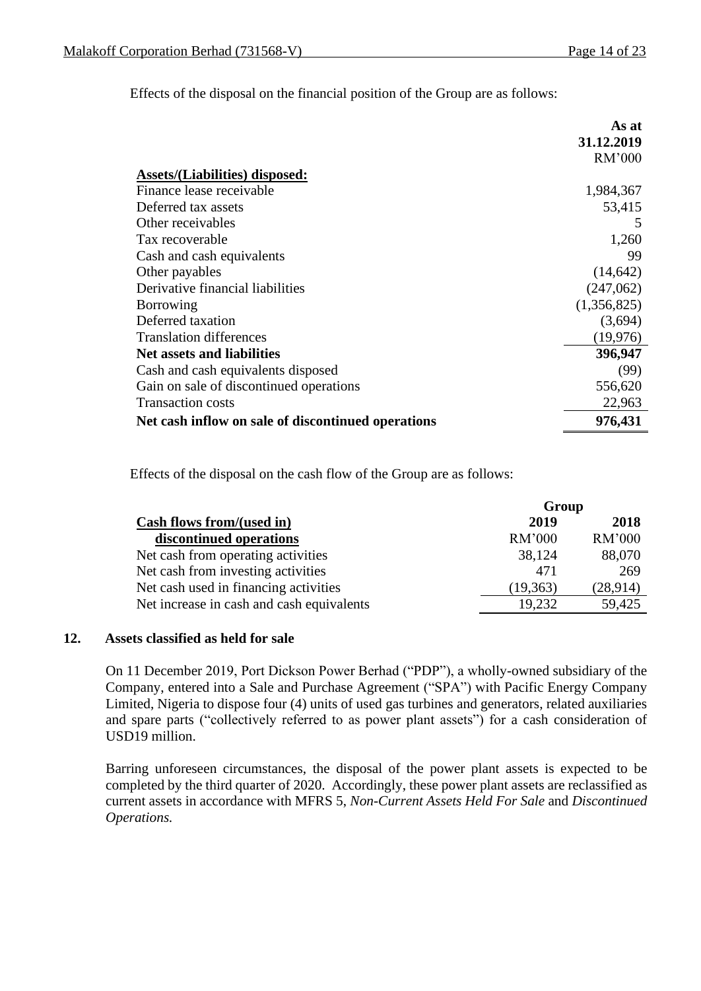Effects of the disposal on the financial position of the Group are as follows:

|                                                    | As at       |
|----------------------------------------------------|-------------|
|                                                    | 31.12.2019  |
|                                                    | RM'000      |
| <b>Assets/(Liabilities) disposed:</b>              |             |
| Finance lease receivable                           | 1,984,367   |
| Deferred tax assets                                | 53,415      |
| Other receivables                                  | 5           |
| Tax recoverable                                    | 1,260       |
| Cash and cash equivalents                          | 99          |
| Other payables                                     | (14, 642)   |
| Derivative financial liabilities                   | (247,062)   |
| <b>Borrowing</b>                                   | (1,356,825) |
| Deferred taxation                                  | (3,694)     |
| <b>Translation differences</b>                     | (19,976)    |
| Net assets and liabilities                         | 396,947     |
| Cash and cash equivalents disposed                 | (99)        |
| Gain on sale of discontinued operations            | 556,620     |
| <b>Transaction costs</b>                           | 22,963      |
| Net cash inflow on sale of discontinued operations | 976,431     |

Effects of the disposal on the cash flow of the Group are as follows:

|                                           | Group     |          |
|-------------------------------------------|-----------|----------|
| Cash flows from/(used in)                 | 2019      | 2018     |
| discontinued operations                   | RM'000    | RM'000   |
| Net cash from operating activities        | 38,124    | 88,070   |
| Net cash from investing activities        | 471       | 269      |
| Net cash used in financing activities     | (19, 363) | (28,914) |
| Net increase in cash and cash equivalents | 19,232    | 59,425   |

## **12. Assets classified as held for sale**

On 11 December 2019, Port Dickson Power Berhad ("PDP"), a wholly-owned subsidiary of the Company, entered into a Sale and Purchase Agreement ("SPA") with Pacific Energy Company Limited, Nigeria to dispose four (4) units of used gas turbines and generators, related auxiliaries and spare parts ("collectively referred to as power plant assets") for a cash consideration of USD19 million.

Barring unforeseen circumstances, the disposal of the power plant assets is expected to be completed by the third quarter of 2020. Accordingly, these power plant assets are reclassified as current assets in accordance with MFRS 5, *Non-Current Assets Held For Sale* and *Discontinued Operations.*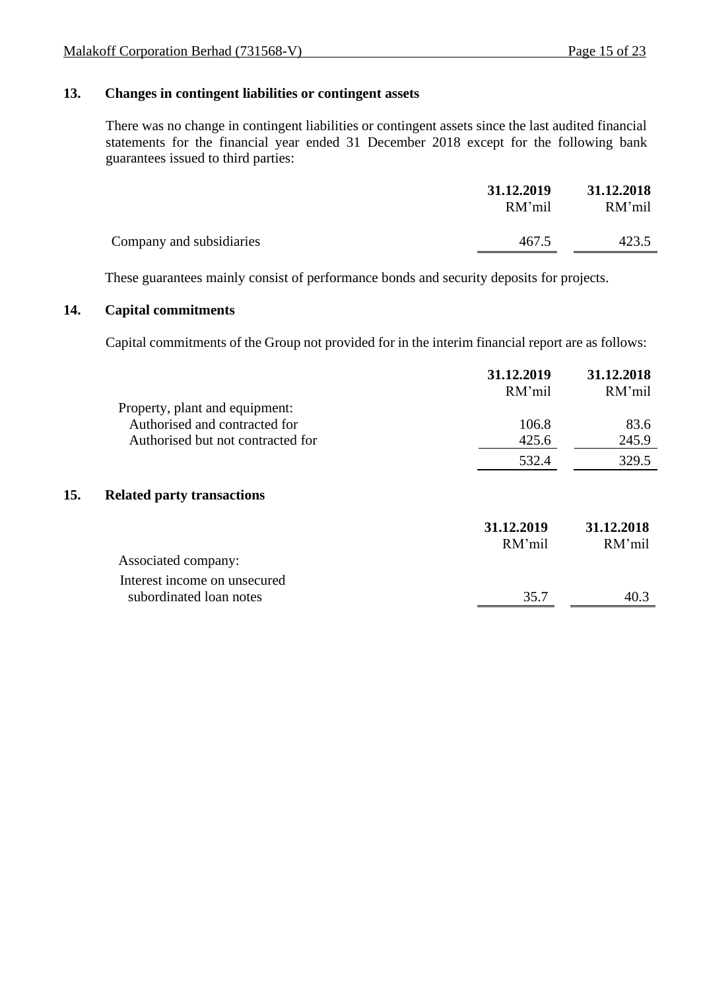## **13. Changes in contingent liabilities or contingent assets**

There was no change in contingent liabilities or contingent assets since the last audited financial statements for the financial year ended 31 December 2018 except for the following bank guarantees issued to third parties:

|                          | 31.12.2019<br>RM'mil | 31.12.2018<br>RM'mil |
|--------------------------|----------------------|----------------------|
| Company and subsidiaries | 467.5                | 423.5                |

These guarantees mainly consist of performance bonds and security deposits for projects.

## **14. Capital commitments**

Capital commitments of the Group not provided for in the interim financial report are as follows:

|                                          | 31.12.2019<br>RM'mil | 31.12.2018<br>RM'mil |
|------------------------------------------|----------------------|----------------------|
| Property, plant and equipment:           |                      |                      |
| Authorised and contracted for            | 106.8                | 83.6                 |
| Authorised but not contracted for        | 425.6                | 245.9                |
|                                          | 532.4                | 329.5                |
| 15.<br><b>Related party transactions</b> |                      |                      |
|                                          | 31.12.2019<br>RM'mil | 31.12.2018<br>RM'mil |
| Associated company:                      |                      |                      |
| Interest income on unsecured             |                      |                      |
| subordinated loan notes                  | 35.7                 | 40.3                 |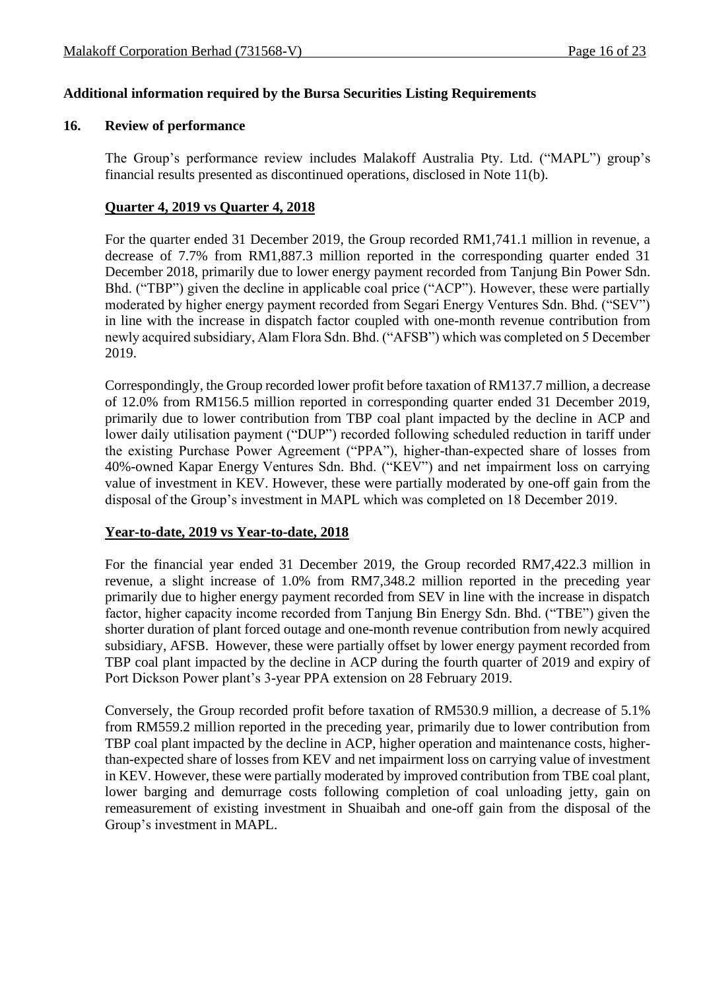## **Additional information required by the Bursa Securities Listing Requirements**

#### **16. Review of performance**

The Group's performance review includes Malakoff Australia Pty. Ltd. ("MAPL") group's financial results presented as discontinued operations, disclosed in Note 11(b).

## **Quarter 4, 2019 vs Quarter 4, 2018**

For the quarter ended 31 December 2019, the Group recorded RM1,741.1 million in revenue, a decrease of 7.7% from RM1,887.3 million reported in the corresponding quarter ended 31 December 2018, primarily due to lower energy payment recorded from Tanjung Bin Power Sdn. Bhd. ("TBP") given the decline in applicable coal price ("ACP"). However, these were partially moderated by higher energy payment recorded from Segari Energy Ventures Sdn. Bhd. ("SEV") in line with the increase in dispatch factor coupled with one-month revenue contribution from newly acquired subsidiary, Alam Flora Sdn. Bhd. ("AFSB") which was completed on 5 December 2019.

Correspondingly, the Group recorded lower profit before taxation of RM137.7 million, a decrease of 12.0% from RM156.5 million reported in corresponding quarter ended 31 December 2019, primarily due to lower contribution from TBP coal plant impacted by the decline in ACP and lower daily utilisation payment ("DUP") recorded following scheduled reduction in tariff under the existing Purchase Power Agreement ("PPA"), higher-than-expected share of losses from 40%-owned Kapar Energy Ventures Sdn. Bhd. ("KEV") and net impairment loss on carrying value of investment in KEV. However, these were partially moderated by one-off gain from the disposal of the Group's investment in MAPL which was completed on 18 December 2019.

## **Year-to-date, 2019 vs Year-to-date, 2018**

For the financial year ended 31 December 2019, the Group recorded RM7,422.3 million in revenue, a slight increase of 1.0% from RM7,348.2 million reported in the preceding year primarily due to higher energy payment recorded from SEV in line with the increase in dispatch factor, higher capacity income recorded from Tanjung Bin Energy Sdn. Bhd. ("TBE") given the shorter duration of plant forced outage and one-month revenue contribution from newly acquired subsidiary, AFSB. However, these were partially offset by lower energy payment recorded from TBP coal plant impacted by the decline in ACP during the fourth quarter of 2019 and expiry of Port Dickson Power plant's 3-year PPA extension on 28 February 2019.

Conversely, the Group recorded profit before taxation of RM530.9 million, a decrease of 5.1% from RM559.2 million reported in the preceding year, primarily due to lower contribution from TBP coal plant impacted by the decline in ACP, higher operation and maintenance costs, higherthan-expected share of losses from KEV and net impairment loss on carrying value of investment in KEV. However, these were partially moderated by improved contribution from TBE coal plant, lower barging and demurrage costs following completion of coal unloading jetty, gain on remeasurement of existing investment in Shuaibah and one-off gain from the disposal of the Group's investment in MAPL.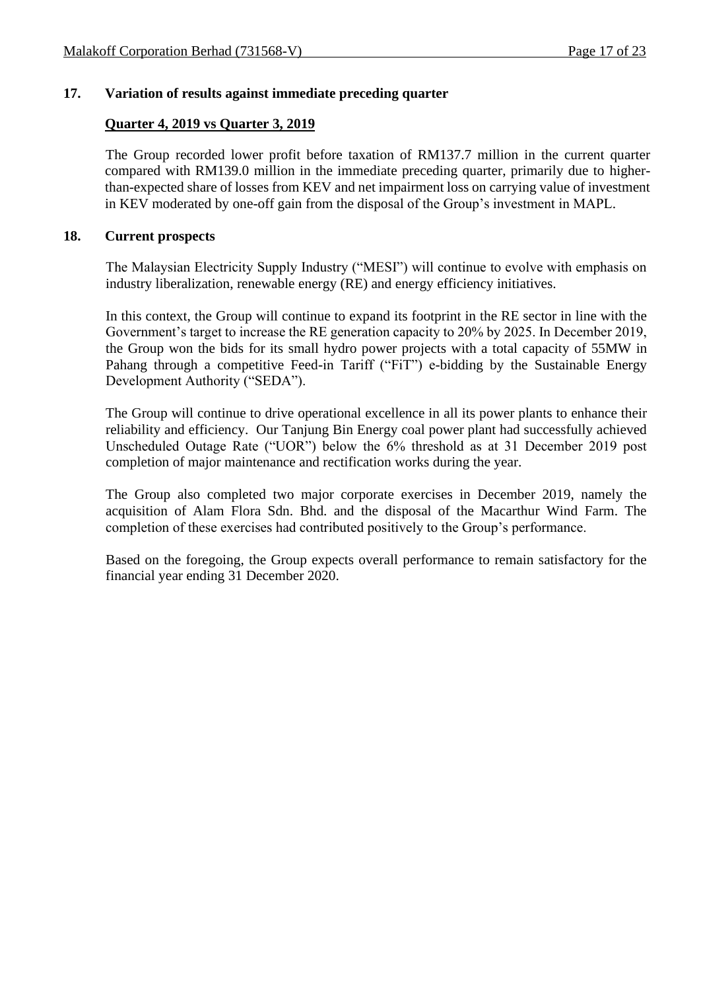## **17. Variation of results against immediate preceding quarter**

## **Quarter 4, 2019 vs Quarter 3, 2019**

The Group recorded lower profit before taxation of RM137.7 million in the current quarter compared with RM139.0 million in the immediate preceding quarter, primarily due to higherthan-expected share of losses from KEV and net impairment loss on carrying value of investment in KEV moderated by one-off gain from the disposal of the Group's investment in MAPL.

## **18. Current prospects**

The Malaysian Electricity Supply Industry ("MESI") will continue to evolve with emphasis on industry liberalization, renewable energy (RE) and energy efficiency initiatives.

In this context, the Group will continue to expand its footprint in the RE sector in line with the Government's target to increase the RE generation capacity to 20% by 2025. In December 2019, the Group won the bids for its small hydro power projects with a total capacity of 55MW in Pahang through a competitive Feed-in Tariff ("FiT") e-bidding by the Sustainable Energy Development Authority ("SEDA").

The Group will continue to drive operational excellence in all its power plants to enhance their reliability and efficiency. Our Tanjung Bin Energy coal power plant had successfully achieved Unscheduled Outage Rate ("UOR") below the 6% threshold as at 31 December 2019 post completion of major maintenance and rectification works during the year.

The Group also completed two major corporate exercises in December 2019, namely the acquisition of Alam Flora Sdn. Bhd. and the disposal of the Macarthur Wind Farm. The completion of these exercises had contributed positively to the Group's performance.

Based on the foregoing, the Group expects overall performance to remain satisfactory for the financial year ending 31 December 2020.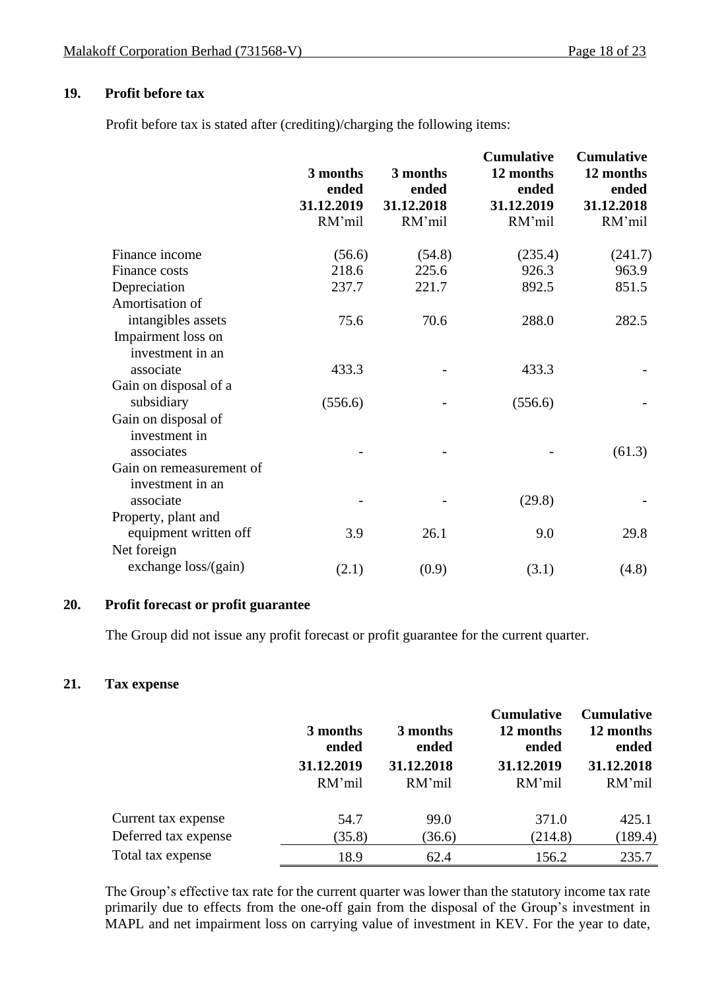## **19. Profit before tax**

Profit before tax is stated after (crediting)/charging the following items:

|                                        | 3 months<br>ended<br>31.12.2019<br>RM'mil | 3 months<br>ended<br>31.12.2018<br>RM'mil | <b>Cumulative</b><br>12 months<br>ended<br>31.12.2019<br>RM'mil | <b>Cumulative</b><br>12 months<br>ended<br>31.12.2018<br>RM'mil |
|----------------------------------------|-------------------------------------------|-------------------------------------------|-----------------------------------------------------------------|-----------------------------------------------------------------|
| Finance income                         | (56.6)                                    | (54.8)                                    | (235.4)                                                         | (241.7)                                                         |
| Finance costs                          | 218.6                                     | 225.6                                     | 926.3                                                           | 963.9                                                           |
| Depreciation                           | 237.7                                     | 221.7                                     | 892.5                                                           | 851.5                                                           |
| Amortisation of                        |                                           |                                           |                                                                 |                                                                 |
| intangibles assets                     | 75.6                                      | 70.6                                      | 288.0                                                           | 282.5                                                           |
| Impairment loss on<br>investment in an |                                           |                                           |                                                                 |                                                                 |
| associate                              | 433.3                                     |                                           | 433.3                                                           |                                                                 |
| Gain on disposal of a                  |                                           |                                           |                                                                 |                                                                 |
| subsidiary                             | (556.6)                                   |                                           | (556.6)                                                         |                                                                 |
| Gain on disposal of<br>investment in   |                                           |                                           |                                                                 |                                                                 |
| associates                             |                                           |                                           |                                                                 | (61.3)                                                          |
| Gain on remeasurement of               |                                           |                                           |                                                                 |                                                                 |
| investment in an                       |                                           |                                           |                                                                 |                                                                 |
| associate                              |                                           |                                           | (29.8)                                                          |                                                                 |
| Property, plant and                    |                                           |                                           |                                                                 |                                                                 |
| equipment written off                  | 3.9                                       | 26.1                                      | 9.0                                                             | 29.8                                                            |
| Net foreign                            |                                           |                                           |                                                                 |                                                                 |
| exchange loss/(gain)                   | (2.1)                                     | (0.9)                                     | (3.1)                                                           | (4.8)                                                           |

## **20. Profit forecast or profit guarantee**

The Group did not issue any profit forecast or profit guarantee for the current quarter.

## **21. Tax expense**

|                      | 3 months<br>ended |            | <b>Cumulative</b><br>12 months<br>ended | <b>Cumulative</b><br>12 months<br>ended |  |
|----------------------|-------------------|------------|-----------------------------------------|-----------------------------------------|--|
|                      | 31.12.2019        | 31.12.2018 | 31.12.2019                              | 31.12.2018                              |  |
|                      | RM'mil            | RM'mil     | RM'mil                                  | RM'mil                                  |  |
| Current tax expense  | 54.7              | 99.0       | 371.0                                   | 425.1                                   |  |
| Deferred tax expense | (35.8)            | (36.6)     | (214.8)                                 | (189.4)                                 |  |
| Total tax expense    | 18.9              | 62.4       | 156.2                                   | 235.7                                   |  |

The Group's effective tax rate for the current quarter was lower than the statutory income tax rate primarily due to effects from the one-off gain from the disposal of the Group's investment in MAPL and net impairment loss on carrying value of investment in KEV. For the year to date,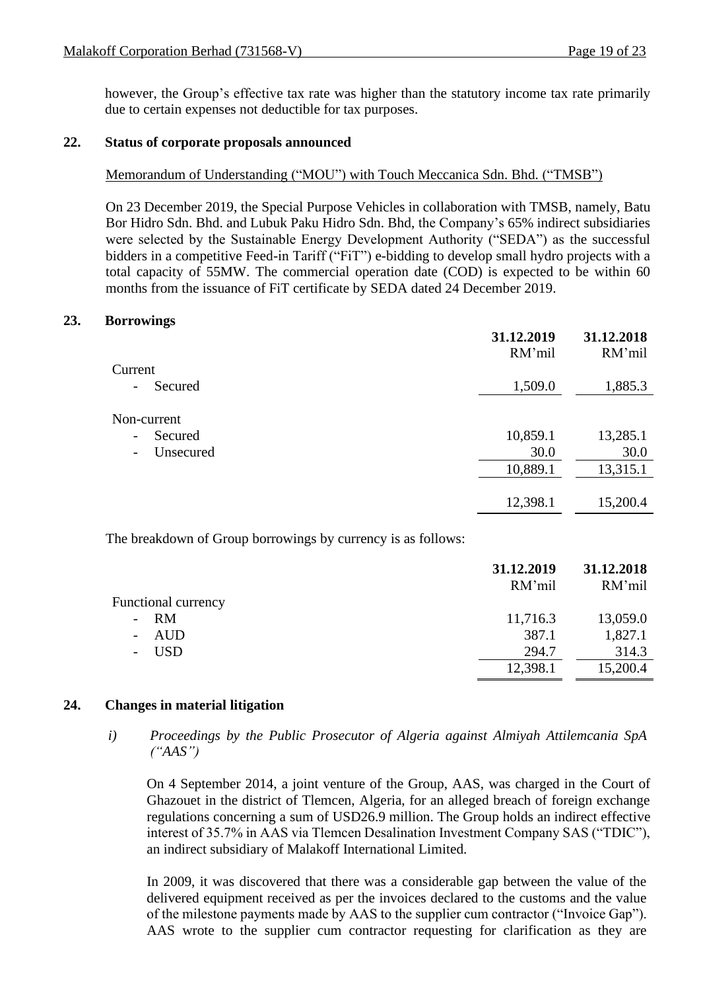however, the Group's effective tax rate was higher than the statutory income tax rate primarily due to certain expenses not deductible for tax purposes.

## **22. Status of corporate proposals announced**

## Memorandum of Understanding ("MOU") with Touch Meccanica Sdn. Bhd. ("TMSB")

On 23 December 2019, the Special Purpose Vehicles in collaboration with TMSB, namely, Batu Bor Hidro Sdn. Bhd. and Lubuk Paku Hidro Sdn. Bhd, the Company's 65% indirect subsidiaries were selected by the Sustainable Energy Development Authority ("SEDA") as the successful bidders in a competitive Feed-in Tariff ("FiT") e-bidding to develop small hydro projects with a total capacity of 55MW. The commercial operation date (COD) is expected to be within 60 months from the issuance of FiT certificate by SEDA dated 24 December 2019.

## **23. Borrowings**

|                                         | 31.12.2019<br>RM'mil | 31.12.2018<br>RM'mil |
|-----------------------------------------|----------------------|----------------------|
| Current                                 |                      |                      |
| Secured<br>$\qquad \qquad \blacksquare$ | 1,509.0              | 1,885.3              |
| Non-current                             |                      |                      |
| Secured<br>$\overline{\phantom{a}}$     | 10,859.1             | 13,285.1             |
| Unsecured<br>$\overline{\phantom{a}}$   | 30.0                 | 30.0                 |
|                                         | 10,889.1             | 13,315.1             |
|                                         |                      |                      |
|                                         | 12,398.1             | 15,200.4             |

The breakdown of Group borrowings by currency is as follows:

|                            | 31.12.2019<br>RM'mil | 31.12.2018<br>RM'mil |
|----------------------------|----------------------|----------------------|
| <b>Functional currency</b> |                      |                      |
| <b>RM</b>                  | 11,716.3             | 13,059.0             |
| AUD                        | 387.1                | 1,827.1              |
| <b>USD</b>                 | 294.7                | 314.3                |
|                            | 12,398.1             | 15,200.4             |

## **24. Changes in material litigation**

*i) Proceedings by the Public Prosecutor of Algeria against Almiyah Attilemcania SpA ("AAS")*

On 4 September 2014, a joint venture of the Group, AAS, was charged in the Court of Ghazouet in the district of Tlemcen, Algeria, for an alleged breach of foreign exchange regulations concerning a sum of USD26.9 million. The Group holds an indirect effective interest of 35.7% in AAS via Tlemcen Desalination Investment Company SAS ("TDIC"), an indirect subsidiary of Malakoff International Limited.

In 2009, it was discovered that there was a considerable gap between the value of the delivered equipment received as per the invoices declared to the customs and the value of the milestone payments made by AAS to the supplier cum contractor ("Invoice Gap"). AAS wrote to the supplier cum contractor requesting for clarification as they are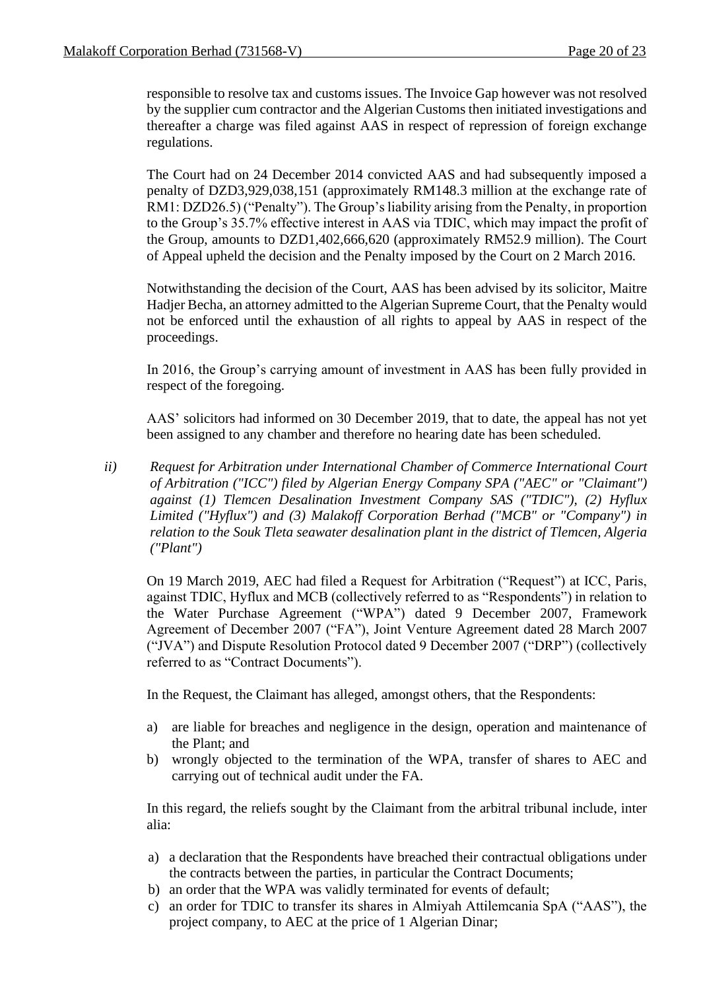responsible to resolve tax and customs issues. The Invoice Gap however was not resolved by the supplier cum contractor and the Algerian Customs then initiated investigations and thereafter a charge was filed against AAS in respect of repression of foreign exchange regulations.

The Court had on 24 December 2014 convicted AAS and had subsequently imposed a penalty of DZD3,929,038,151 (approximately RM148.3 million at the exchange rate of RM1: DZD26.5) ("Penalty"). The Group's liability arising from the Penalty, in proportion to the Group's 35.7% effective interest in AAS via TDIC, which may impact the profit of the Group, amounts to DZD1,402,666,620 (approximately RM52.9 million). The Court of Appeal upheld the decision and the Penalty imposed by the Court on 2 March 2016.

Notwithstanding the decision of the Court, AAS has been advised by its solicitor, Maitre Hadjer Becha, an attorney admitted to the Algerian Supreme Court, that the Penalty would not be enforced until the exhaustion of all rights to appeal by AAS in respect of the proceedings.

In 2016, the Group's carrying amount of investment in AAS has been fully provided in respect of the foregoing.

AAS' solicitors had informed on 30 December 2019, that to date, the appeal has not yet been assigned to any chamber and therefore no hearing date has been scheduled.

*ii) Request for Arbitration under International Chamber of Commerce International Court of Arbitration ("ICC") filed by Algerian Energy Company SPA ("AEC" or "Claimant") against (1) Tlemcen Desalination Investment Company SAS ("TDIC"), (2) Hyflux Limited ("Hyflux") and (3) Malakoff Corporation Berhad ("MCB" or "Company") in relation to the Souk Tleta seawater desalination plant in the district of Tlemcen, Algeria ("Plant")*

On 19 March 2019, AEC had filed a Request for Arbitration ("Request") at ICC, Paris, against TDIC, Hyflux and MCB (collectively referred to as "Respondents") in relation to the Water Purchase Agreement ("WPA") dated 9 December 2007, Framework Agreement of December 2007 ("FA"), Joint Venture Agreement dated 28 March 2007 ("JVA") and Dispute Resolution Protocol dated 9 December 2007 ("DRP") (collectively referred to as "Contract Documents").

In the Request, the Claimant has alleged, amongst others, that the Respondents:

- a) are liable for breaches and negligence in the design, operation and maintenance of the Plant; and
- b) wrongly objected to the termination of the WPA, transfer of shares to AEC and carrying out of technical audit under the FA.

In this regard, the reliefs sought by the Claimant from the arbitral tribunal include, inter alia:

- a) a declaration that the Respondents have breached their contractual obligations under the contracts between the parties, in particular the Contract Documents;
- b) an order that the WPA was validly terminated for events of default;
- c) an order for TDIC to transfer its shares in Almiyah Attilemcania SpA ("AAS"), the project company, to AEC at the price of 1 Algerian Dinar;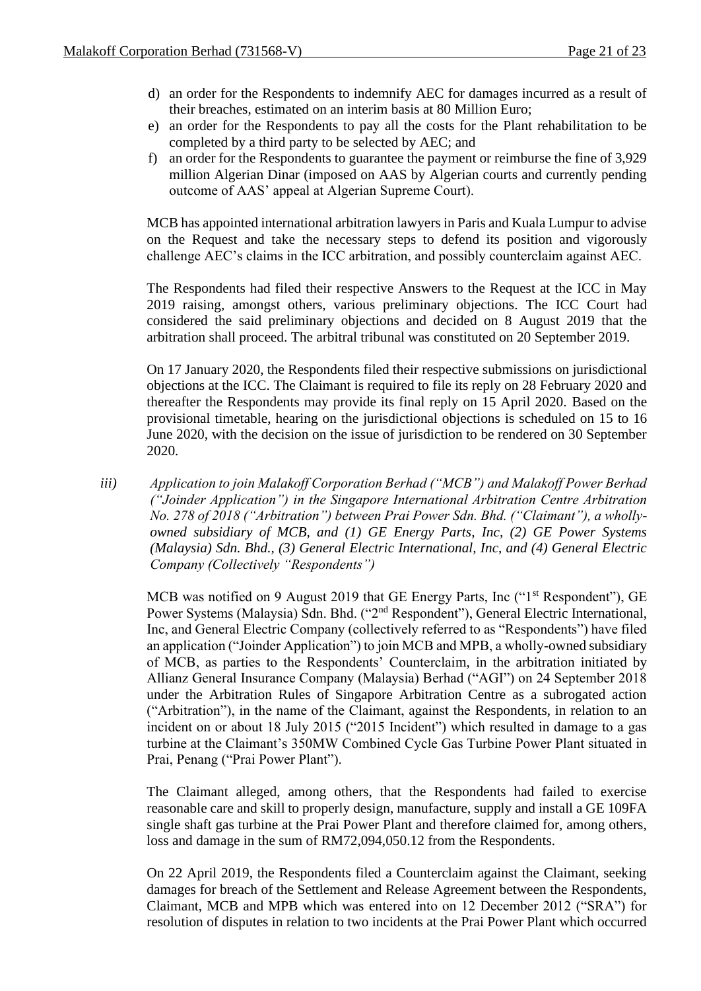- d) an order for the Respondents to indemnify AEC for damages incurred as a result of their breaches, estimated on an interim basis at 80 Million Euro;
- e) an order for the Respondents to pay all the costs for the Plant rehabilitation to be completed by a third party to be selected by AEC; and
- f) an order for the Respondents to guarantee the payment or reimburse the fine of 3,929 million Algerian Dinar (imposed on AAS by Algerian courts and currently pending outcome of AAS' appeal at Algerian Supreme Court).

MCB has appointed international arbitration lawyers in Paris and Kuala Lumpur to advise on the Request and take the necessary steps to defend its position and vigorously challenge AEC's claims in the ICC arbitration, and possibly counterclaim against AEC.

The Respondents had filed their respective Answers to the Request at the ICC in May 2019 raising, amongst others, various preliminary objections. The ICC Court had considered the said preliminary objections and decided on 8 August 2019 that the arbitration shall proceed. The arbitral tribunal was constituted on 20 September 2019.

On 17 January 2020, the Respondents filed their respective submissions on jurisdictional objections at the ICC. The Claimant is required to file its reply on 28 February 2020 and thereafter the Respondents may provide its final reply on 15 April 2020. Based on the provisional timetable, hearing on the jurisdictional objections is scheduled on 15 to 16 June 2020, with the decision on the issue of jurisdiction to be rendered on 30 September 2020.

*iii) Application to join Malakoff Corporation Berhad ("MCB") and Malakoff Power Berhad ("Joinder Application") in the Singapore International Arbitration Centre Arbitration No. 278 of 2018 ("Arbitration") between Prai Power Sdn. Bhd. ("Claimant"), a whollyowned subsidiary of MCB, and (1) GE Energy Parts, Inc, (2) GE Power Systems (Malaysia) Sdn. Bhd., (3) General Electric International, Inc, and (4) General Electric Company (Collectively "Respondents")*

MCB was notified on 9 August 2019 that GE Energy Parts, Inc ("1<sup>st</sup> Respondent"), GE Power Systems (Malaysia) Sdn. Bhd. ("2<sup>nd</sup> Respondent"), General Electric International, Inc, and General Electric Company (collectively referred to as "Respondents") have filed an application ("Joinder Application") to join MCB and MPB, a wholly-owned subsidiary of MCB, as parties to the Respondents' Counterclaim, in the arbitration initiated by Allianz General Insurance Company (Malaysia) Berhad ("AGI") on 24 September 2018 under the Arbitration Rules of Singapore Arbitration Centre as a subrogated action ("Arbitration"), in the name of the Claimant, against the Respondents, in relation to an incident on or about 18 July 2015 ("2015 Incident") which resulted in damage to a gas turbine at the Claimant's 350MW Combined Cycle Gas Turbine Power Plant situated in Prai, Penang ("Prai Power Plant").

The Claimant alleged, among others, that the Respondents had failed to exercise reasonable care and skill to properly design, manufacture, supply and install a GE 109FA single shaft gas turbine at the Prai Power Plant and therefore claimed for, among others, loss and damage in the sum of RM72,094,050.12 from the Respondents.

On 22 April 2019, the Respondents filed a Counterclaim against the Claimant, seeking damages for breach of the Settlement and Release Agreement between the Respondents, Claimant, MCB and MPB which was entered into on 12 December 2012 ("SRA") for resolution of disputes in relation to two incidents at the Prai Power Plant which occurred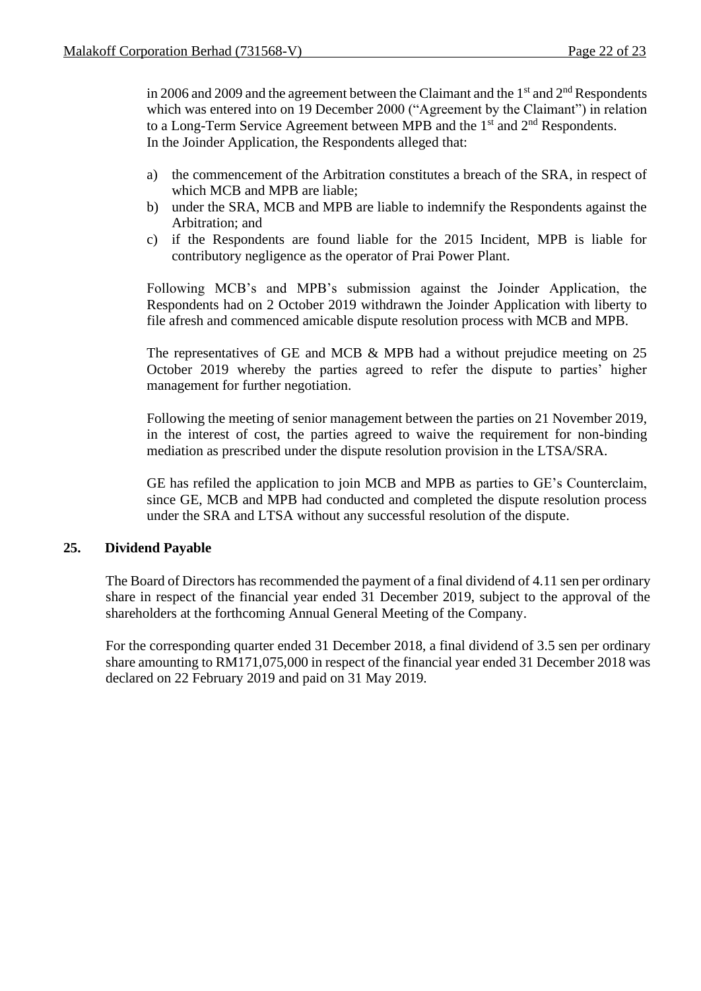in 2006 and 2009 and the agreement between the Claimant and the  $1<sup>st</sup>$  and  $2<sup>nd</sup>$  Respondents which was entered into on 19 December 2000 ("Agreement by the Claimant") in relation to a Long-Term Service Agreement between MPB and the  $1<sup>st</sup>$  and  $2<sup>nd</sup>$  Respondents. In the Joinder Application, the Respondents alleged that:

- a) the commencement of the Arbitration constitutes a breach of the SRA, in respect of which MCB and MPB are liable;
- b) under the SRA, MCB and MPB are liable to indemnify the Respondents against the Arbitration; and
- c) if the Respondents are found liable for the 2015 Incident, MPB is liable for contributory negligence as the operator of Prai Power Plant.

Following MCB's and MPB's submission against the Joinder Application, the Respondents had on 2 October 2019 withdrawn the Joinder Application with liberty to file afresh and commenced amicable dispute resolution process with MCB and MPB.

The representatives of GE and MCB & MPB had a without prejudice meeting on 25 October 2019 whereby the parties agreed to refer the dispute to parties' higher management for further negotiation.

Following the meeting of senior management between the parties on 21 November 2019, in the interest of cost, the parties agreed to waive the requirement for non-binding mediation as prescribed under the dispute resolution provision in the LTSA/SRA.

GE has refiled the application to join MCB and MPB as parties to GE's Counterclaim, since GE, MCB and MPB had conducted and completed the dispute resolution process under the SRA and LTSA without any successful resolution of the dispute.

## **25. Dividend Payable**

The Board of Directors has recommended the payment of a final dividend of 4.11 sen per ordinary share in respect of the financial year ended 31 December 2019, subject to the approval of the shareholders at the forthcoming Annual General Meeting of the Company.

For the corresponding quarter ended 31 December 2018, a final dividend of 3.5 sen per ordinary share amounting to RM171,075,000 in respect of the financial year ended 31 December 2018 was declared on 22 February 2019 and paid on 31 May 2019.